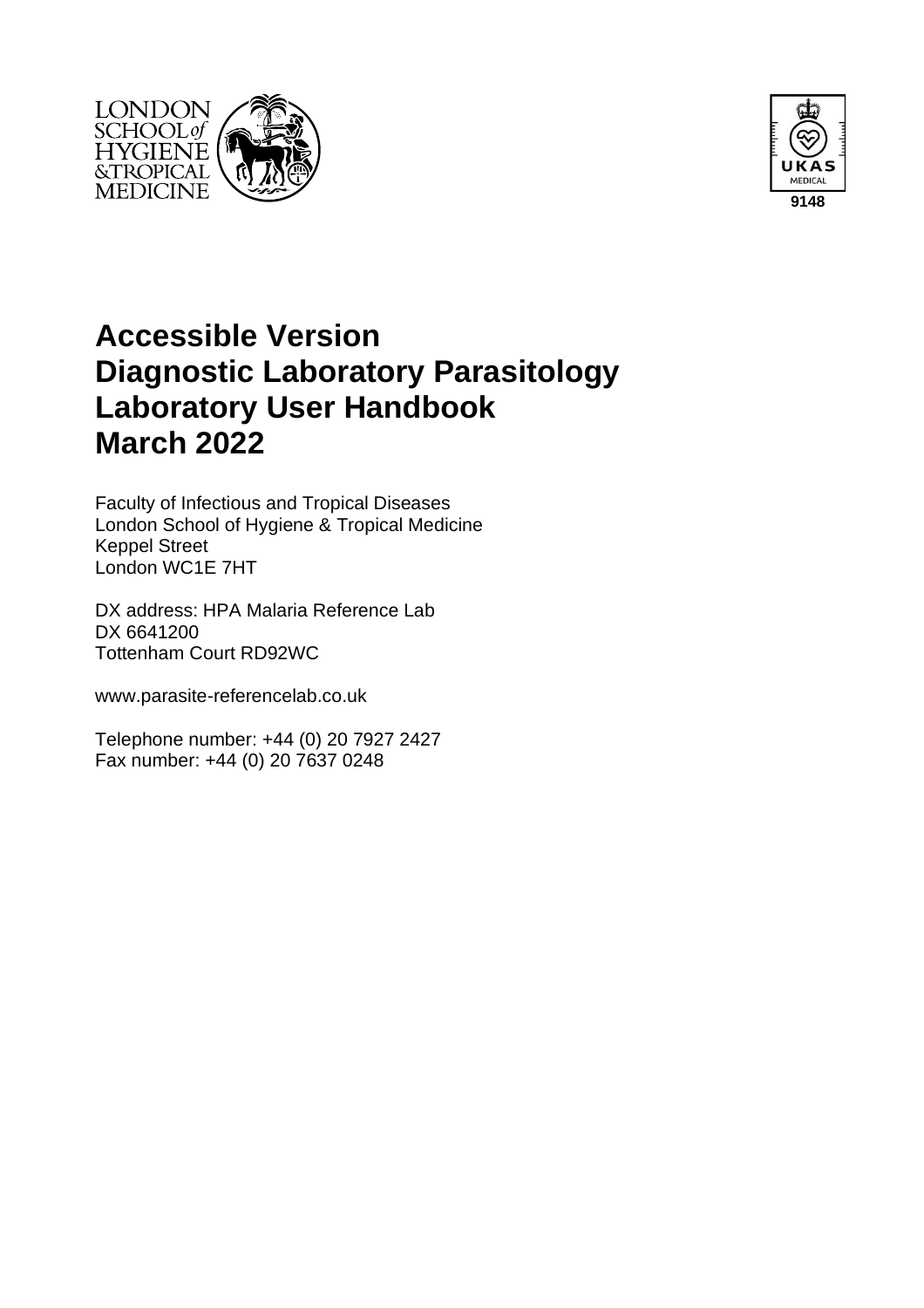



# **Accessible Version Diagnostic Laboratory Parasitology Laboratory User Handbook March 2022**

Faculty of Infectious and Tropical Diseases London School of Hygiene & Tropical Medicine Keppel Street London WC1E 7HT

DX address: HPA Malaria Reference Lab DX 6641200 Tottenham Court RD92WC

www.parasite-referencelab.co.uk

Telephone number: +44 (0) 20 7927 2427 Fax number: +44 (0) 20 7637 0248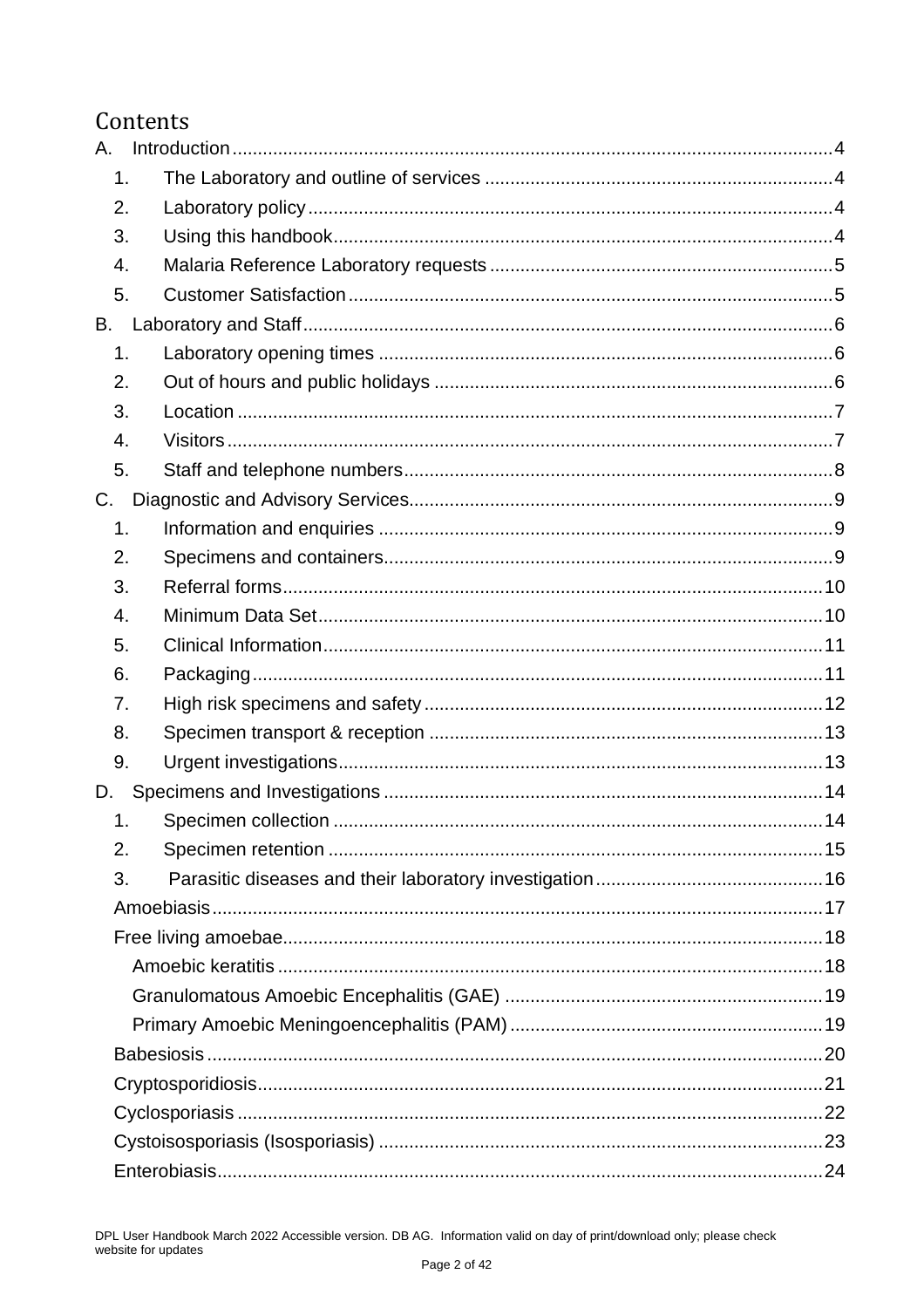## Contents

| Α.            |  |
|---------------|--|
| 1.            |  |
| 2.            |  |
| 3.            |  |
| 4.            |  |
| 5.            |  |
| В.            |  |
| $\mathbf 1$ . |  |
| 2.            |  |
| 3.            |  |
| 4.            |  |
| 5.            |  |
| C.            |  |
| 1.            |  |
| 2.            |  |
| 3.            |  |
| 4.            |  |
| 5.            |  |
| 6.            |  |
| 7.            |  |
| 8.            |  |
| 9.            |  |
| D.            |  |
| 1.            |  |
| 2.            |  |
| 3.            |  |
|               |  |
|               |  |
|               |  |
|               |  |
|               |  |
|               |  |
|               |  |
|               |  |
|               |  |
|               |  |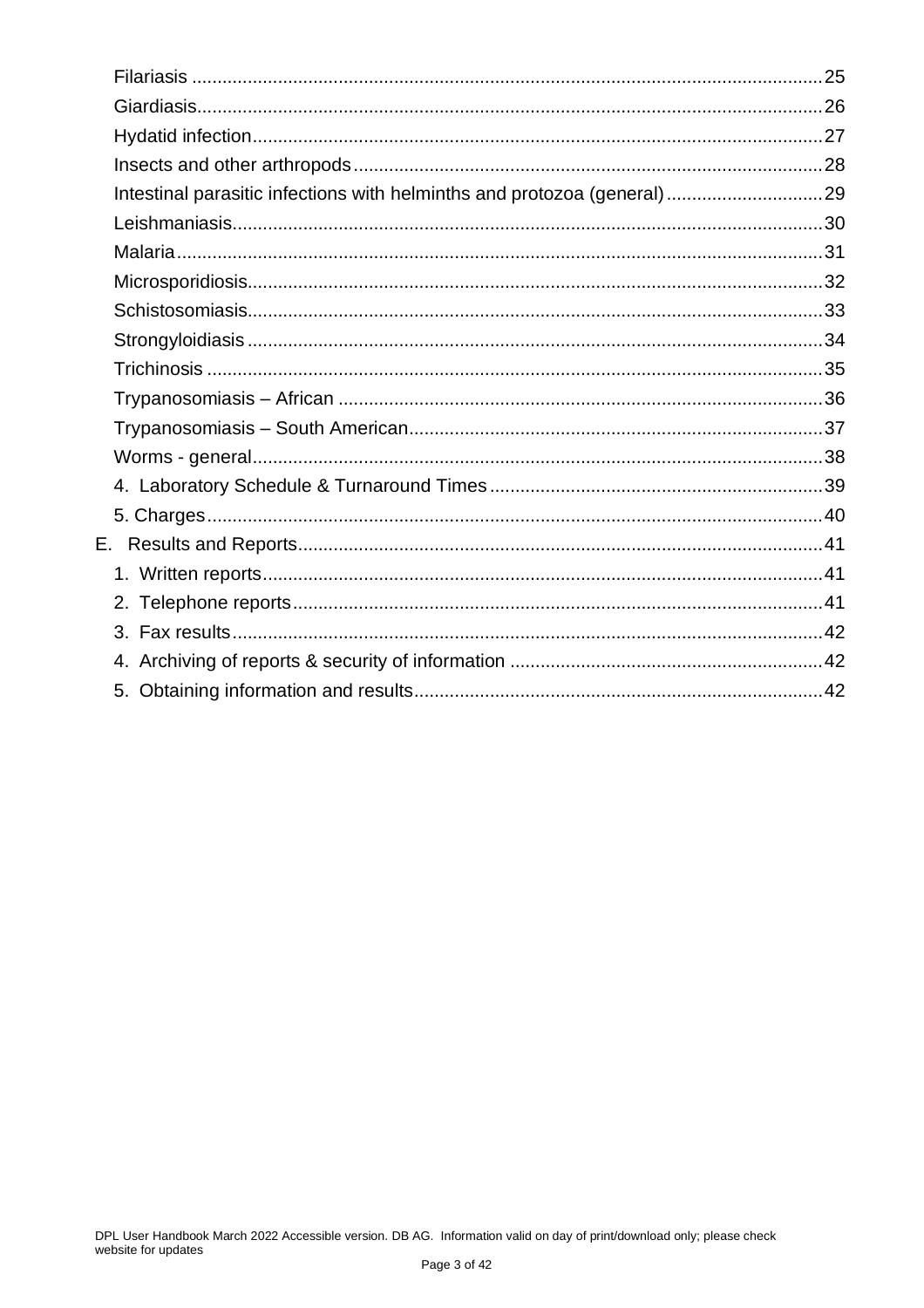| Intestinal parasitic infections with helminths and protozoa (general)29 |  |
|-------------------------------------------------------------------------|--|
|                                                                         |  |
|                                                                         |  |
|                                                                         |  |
|                                                                         |  |
|                                                                         |  |
|                                                                         |  |
|                                                                         |  |
|                                                                         |  |
|                                                                         |  |
|                                                                         |  |
|                                                                         |  |
|                                                                         |  |
|                                                                         |  |
|                                                                         |  |
|                                                                         |  |
|                                                                         |  |
|                                                                         |  |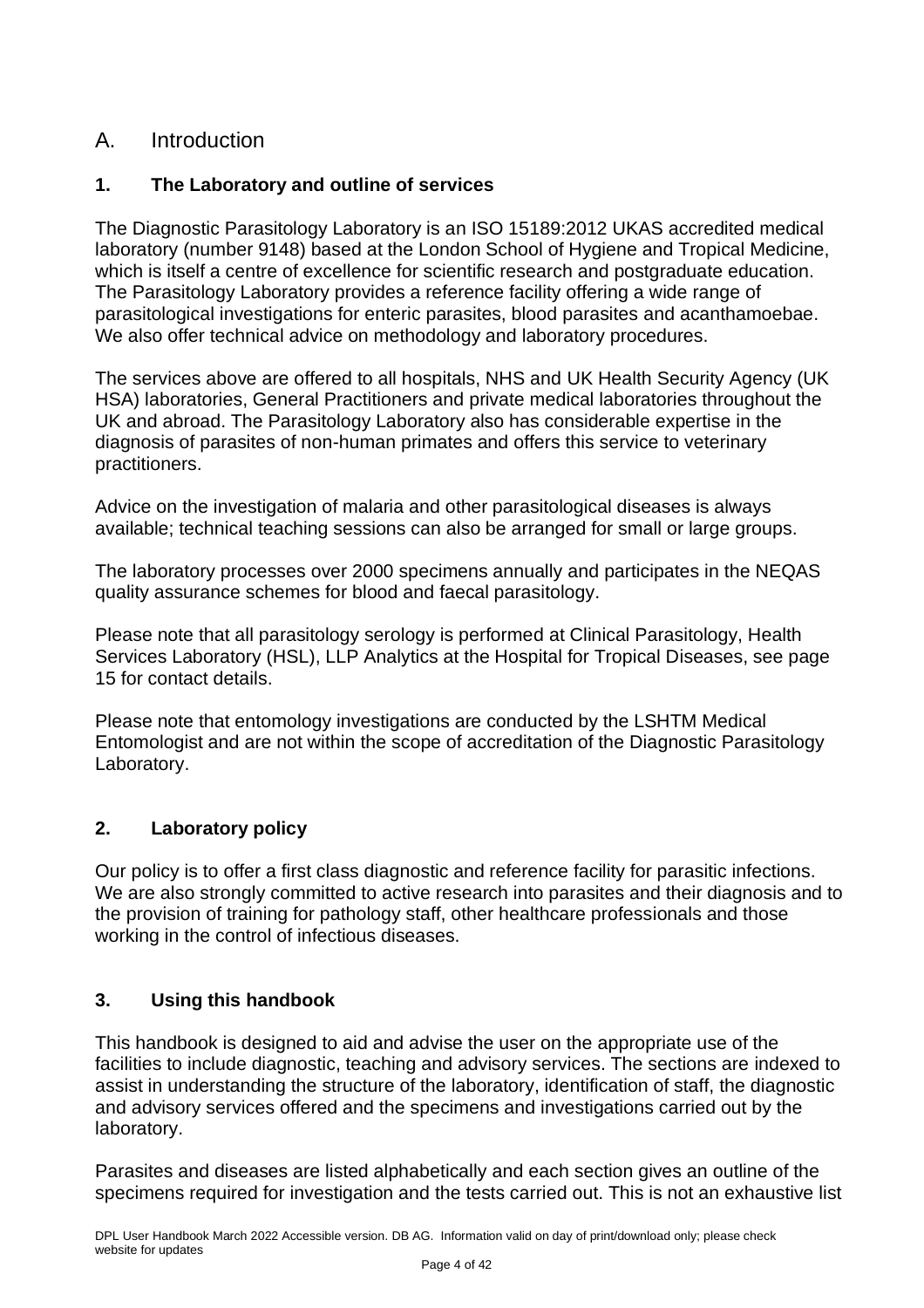## <span id="page-3-0"></span>A. Introduction

#### <span id="page-3-1"></span>**1. The Laboratory and outline of services**

The Diagnostic Parasitology Laboratory is an ISO 15189:2012 UKAS accredited medical laboratory (number 9148) based at the London School of Hygiene and Tropical Medicine, which is itself a centre of excellence for scientific research and postgraduate education. The Parasitology Laboratory provides a reference facility offering a wide range of parasitological investigations for enteric parasites, blood parasites and acanthamoebae. We also offer technical advice on methodology and laboratory procedures.

The services above are offered to all hospitals, NHS and UK Health Security Agency (UK HSA) laboratories, General Practitioners and private medical laboratories throughout the UK and abroad. The Parasitology Laboratory also has considerable expertise in the diagnosis of parasites of non-human primates and offers this service to veterinary practitioners.

Advice on the investigation of malaria and other parasitological diseases is always available; technical teaching sessions can also be arranged for small or large groups.

The laboratory processes over 2000 specimens annually and participates in the NEQAS quality assurance schemes for blood and faecal parasitology.

Please note that all parasitology serology is performed at Clinical Parasitology, Health Services Laboratory (HSL), LLP Analytics at the Hospital for Tropical Diseases, see page 15 for contact details.

Please note that entomology investigations are conducted by the LSHTM Medical Entomologist and are not within the scope of accreditation of the Diagnostic Parasitology Laboratory.

#### <span id="page-3-2"></span>**2. Laboratory policy**

Our policy is to offer a first class diagnostic and reference facility for parasitic infections. We are also strongly committed to active research into parasites and their diagnosis and to the provision of training for pathology staff, other healthcare professionals and those working in the control of infectious diseases.

#### <span id="page-3-3"></span>**3. Using this handbook**

This handbook is designed to aid and advise the user on the appropriate use of the facilities to include diagnostic, teaching and advisory services. The sections are indexed to assist in understanding the structure of the laboratory, identification of staff, the diagnostic and advisory services offered and the specimens and investigations carried out by the laboratory.

Parasites and diseases are listed alphabetically and each section gives an outline of the specimens required for investigation and the tests carried out. This is not an exhaustive list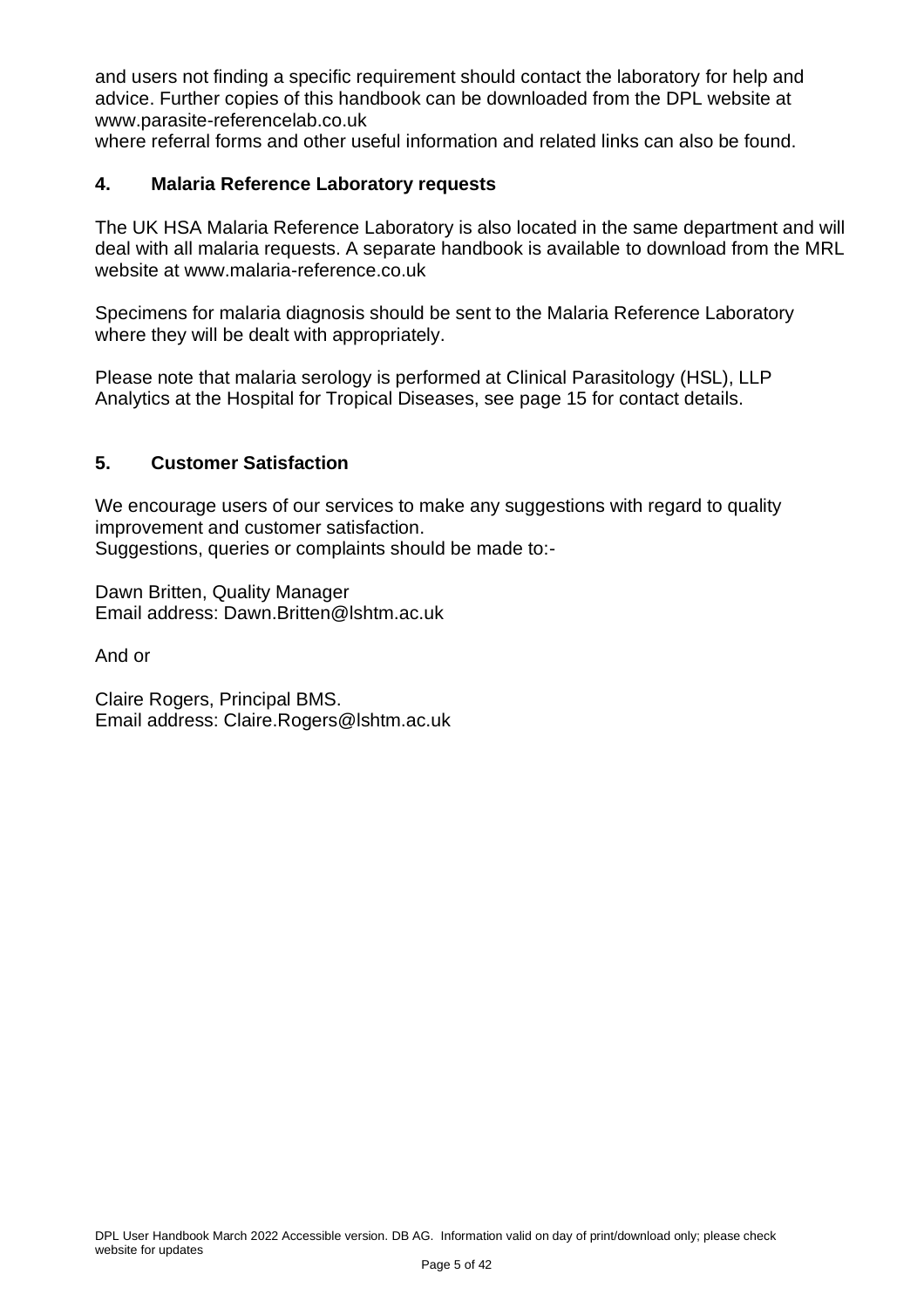and users not finding a specific requirement should contact the laboratory for help and advice. Further copies of this handbook can be downloaded from the DPL website at [www.parasite-referencelab.co.uk](http://www.parasite-referencelab.co.uk/)

where referral forms and other useful information and related links can also be found.

#### <span id="page-4-0"></span>**4. Malaria Reference Laboratory requests**

The UK HSA Malaria Reference Laboratory is also located in the same department and will deal with all malaria requests. A separate handbook is available to download from the MRL website at [www.malaria-reference.co.uk](http://www.malaria-referenece.co.uk/)

Specimens for malaria diagnosis should be sent to the Malaria Reference Laboratory where they will be dealt with appropriately.

Please note that malaria serology is performed at Clinical Parasitology (HSL), LLP Analytics at the Hospital for Tropical Diseases, see page 15 for contact details.

#### <span id="page-4-1"></span>**5. Customer Satisfaction**

We encourage users of our services to make any suggestions with regard to quality improvement and customer satisfaction. Suggestions, queries or complaints should be made to:-

Dawn Britten, Quality Manager Email address: [Dawn.Britten@lshtm.ac.uk](mailto:Dawn.Britten@lshtm.ac.uk)

And or

Claire Rogers, Principal BMS. Email address: [Claire.Rogers@lshtm.ac.uk](mailto:Claire.Rogers@lshtm.ac.uk)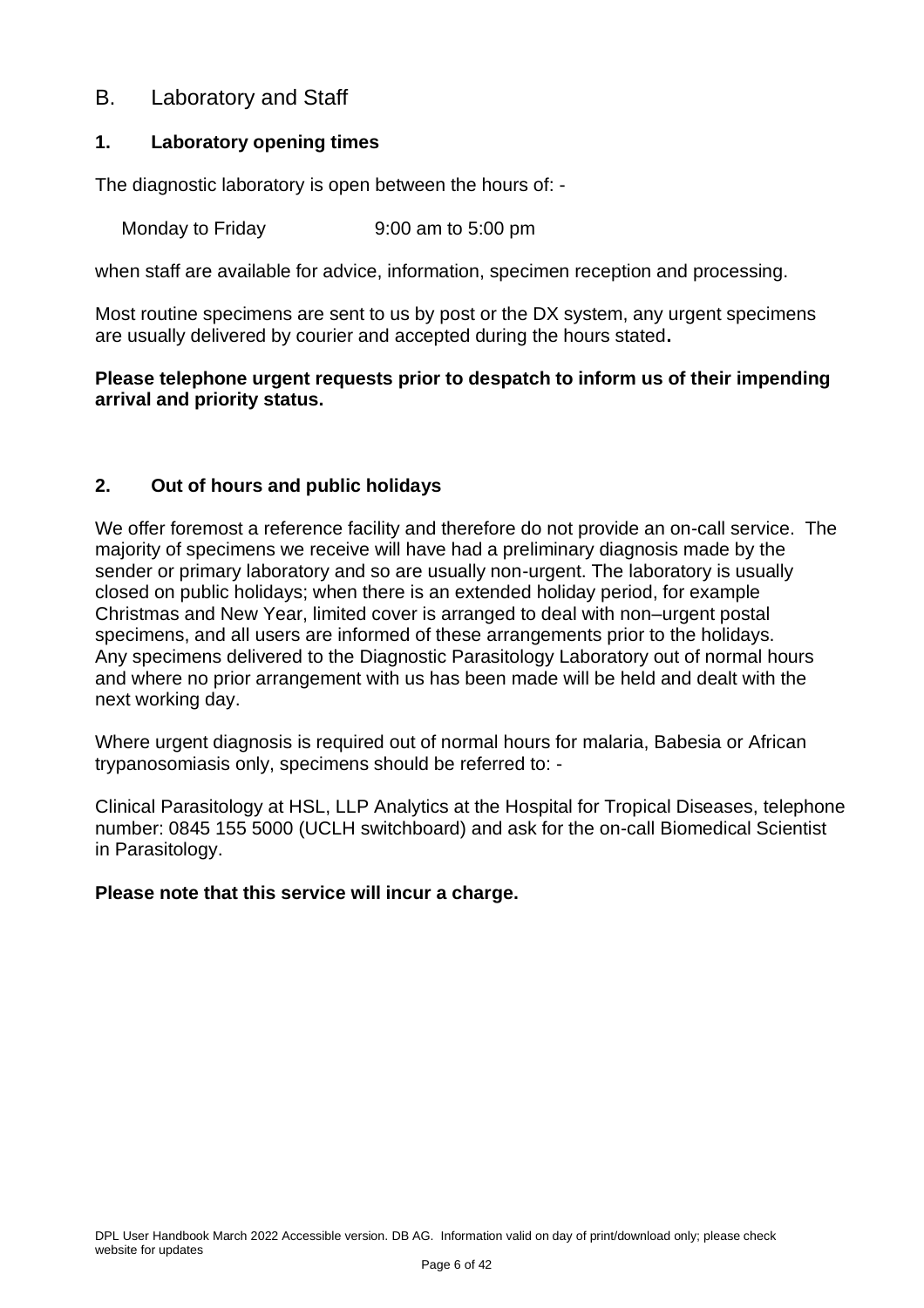## <span id="page-5-0"></span>B. Laboratory and Staff

#### <span id="page-5-1"></span>**1. Laboratory opening times**

The diagnostic laboratory is open between the hours of: -

Monday to Friday 8:00 am to 5:00 pm

when staff are available for advice, information, specimen reception and processing.

Most routine specimens are sent to us by post or the DX system, any urgent specimens are usually delivered by courier and accepted during the hours stated**.** 

#### **Please telephone urgent requests prior to despatch to inform us of their impending arrival and priority status.**

#### <span id="page-5-2"></span>**2. Out of hours and public holidays**

We offer foremost a reference facility and therefore do not provide an on-call service. The majority of specimens we receive will have had a preliminary diagnosis made by the sender or primary laboratory and so are usually non-urgent. The laboratory is usually closed on public holidays; when there is an extended holiday period, for example Christmas and New Year, limited cover is arranged to deal with non–urgent postal specimens, and all users are informed of these arrangements prior to the holidays. Any specimens delivered to the Diagnostic Parasitology Laboratory out of normal hours and where no prior arrangement with us has been made will be held and dealt with the next working day.

Where urgent diagnosis is required out of normal hours for malaria, Babesia or African trypanosomiasis only, specimens should be referred to: -

Clinical Parasitology at HSL, LLP Analytics at the Hospital for Tropical Diseases, telephone number: 0845 155 5000 (UCLH switchboard) and ask for the on-call Biomedical Scientist in Parasitology.

#### **Please note that this service will incur a charge.**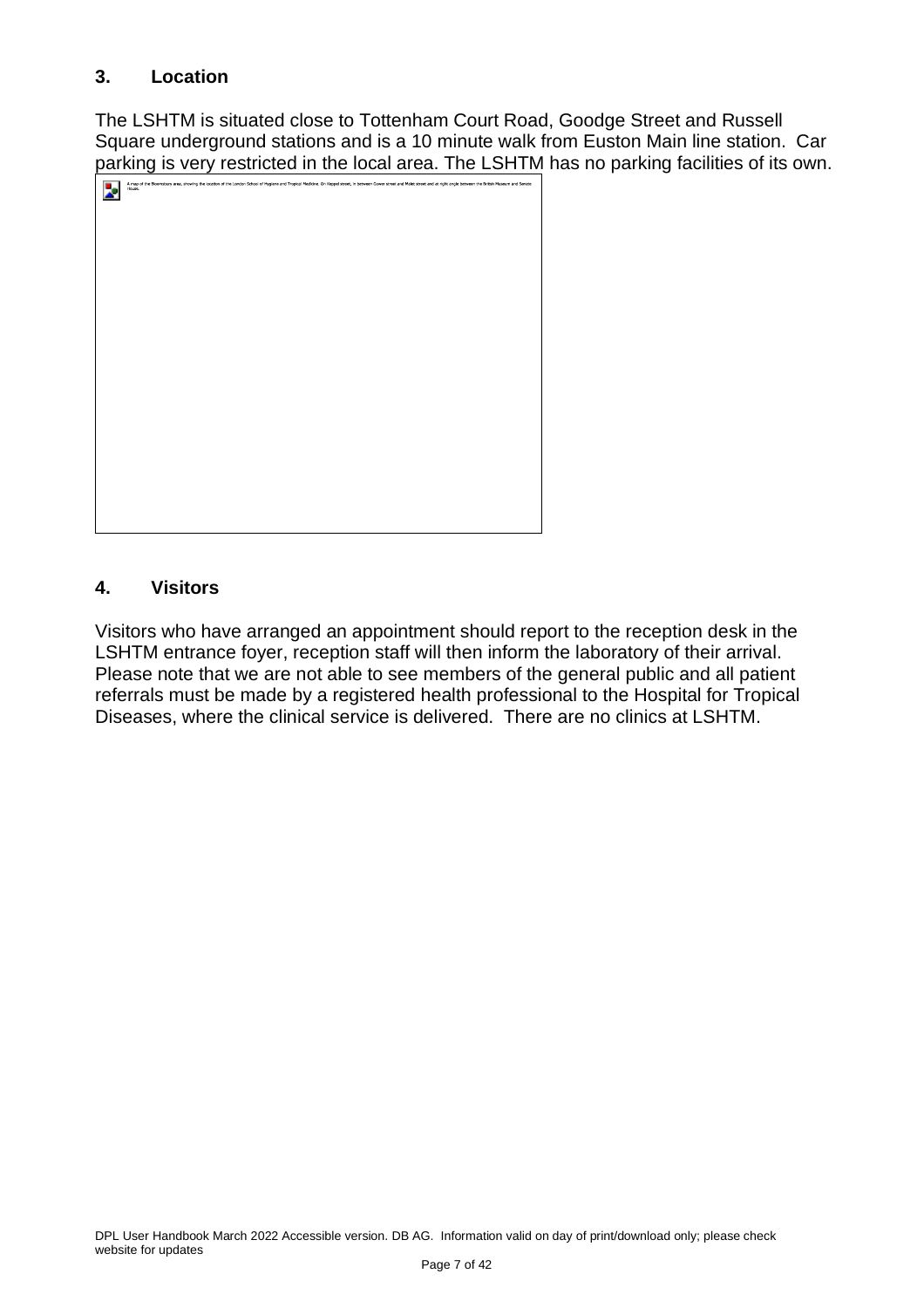#### <span id="page-6-0"></span>**3. Location**

The LSHTM is situated close to Tottenham Court Road, Goodge Street and Russell Square underground stations and is a 10 minute walk from Euston Main line station. Car parking is very restricted in the local area. The LSHTM has no parking facilities of its own.

| A map of the Bloomsbury area, showing the location of the London School of Hygiene and Tropical Medicine. On Keppel street, in between Gower street and Malet street and at right angle between the British Museum and Senate<br>House. |
|-----------------------------------------------------------------------------------------------------------------------------------------------------------------------------------------------------------------------------------------|
|                                                                                                                                                                                                                                         |
|                                                                                                                                                                                                                                         |
|                                                                                                                                                                                                                                         |
|                                                                                                                                                                                                                                         |
|                                                                                                                                                                                                                                         |
|                                                                                                                                                                                                                                         |
|                                                                                                                                                                                                                                         |
|                                                                                                                                                                                                                                         |
|                                                                                                                                                                                                                                         |
|                                                                                                                                                                                                                                         |
|                                                                                                                                                                                                                                         |
|                                                                                                                                                                                                                                         |
|                                                                                                                                                                                                                                         |
|                                                                                                                                                                                                                                         |

## <span id="page-6-1"></span>**4. Visitors**

Visitors who have arranged an appointment should report to the reception desk in the LSHTM entrance foyer, reception staff will then inform the laboratory of their arrival. Please note that we are not able to see members of the general public and all patient referrals must be made by a registered health professional to the Hospital for Tropical Diseases, where the clinical service is delivered. There are no clinics at LSHTM.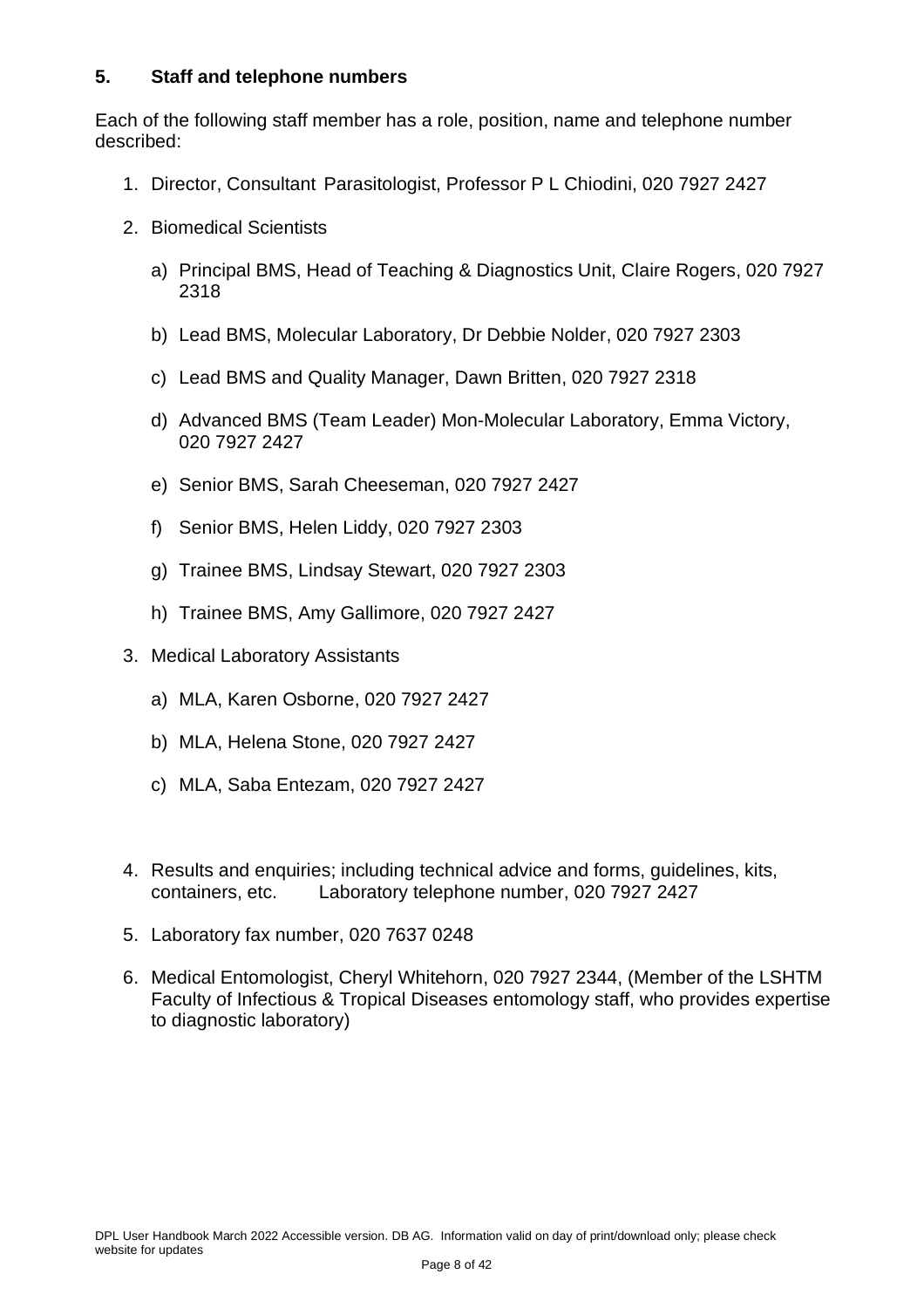#### <span id="page-7-0"></span>**5. Staff and telephone numbers**

Each of the following staff member has a role, position, name and telephone number described:

- 1. Director, Consultant Parasitologist, Professor P L Chiodini, 020 7927 2427
- 2. Biomedical Scientists
	- a) Principal BMS, Head of Teaching & Diagnostics Unit, Claire Rogers, 020 7927 2318
	- b) Lead BMS, Molecular Laboratory, Dr Debbie Nolder, 020 7927 2303
	- c) Lead BMS and Quality Manager, Dawn Britten, 020 7927 2318
	- d) Advanced BMS (Team Leader) Mon-Molecular Laboratory, Emma Victory, 020 7927 2427
	- e) Senior BMS, Sarah Cheeseman, 020 7927 2427
	- f) Senior BMS, Helen Liddy, 020 7927 2303
	- g) Trainee BMS, Lindsay Stewart, 020 7927 2303
	- h) Trainee BMS, Amy Gallimore, 020 7927 2427
- 3. Medical Laboratory Assistants
	- a) MLA, Karen Osborne, 020 7927 2427
	- b) MLA, Helena Stone, 020 7927 2427
	- c) MLA, Saba Entezam, 020 7927 2427
- 4. Results and enquiries; including technical advice and forms, guidelines, kits, containers, etc. Laboratory telephone number, 020 7927 2427
- 5. Laboratory fax number, 020 7637 0248
- 6. Medical Entomologist, Cheryl Whitehorn, 020 7927 2344, (Member of the LSHTM Faculty of Infectious & Tropical Diseases entomology staff, who provides expertise to diagnostic laboratory)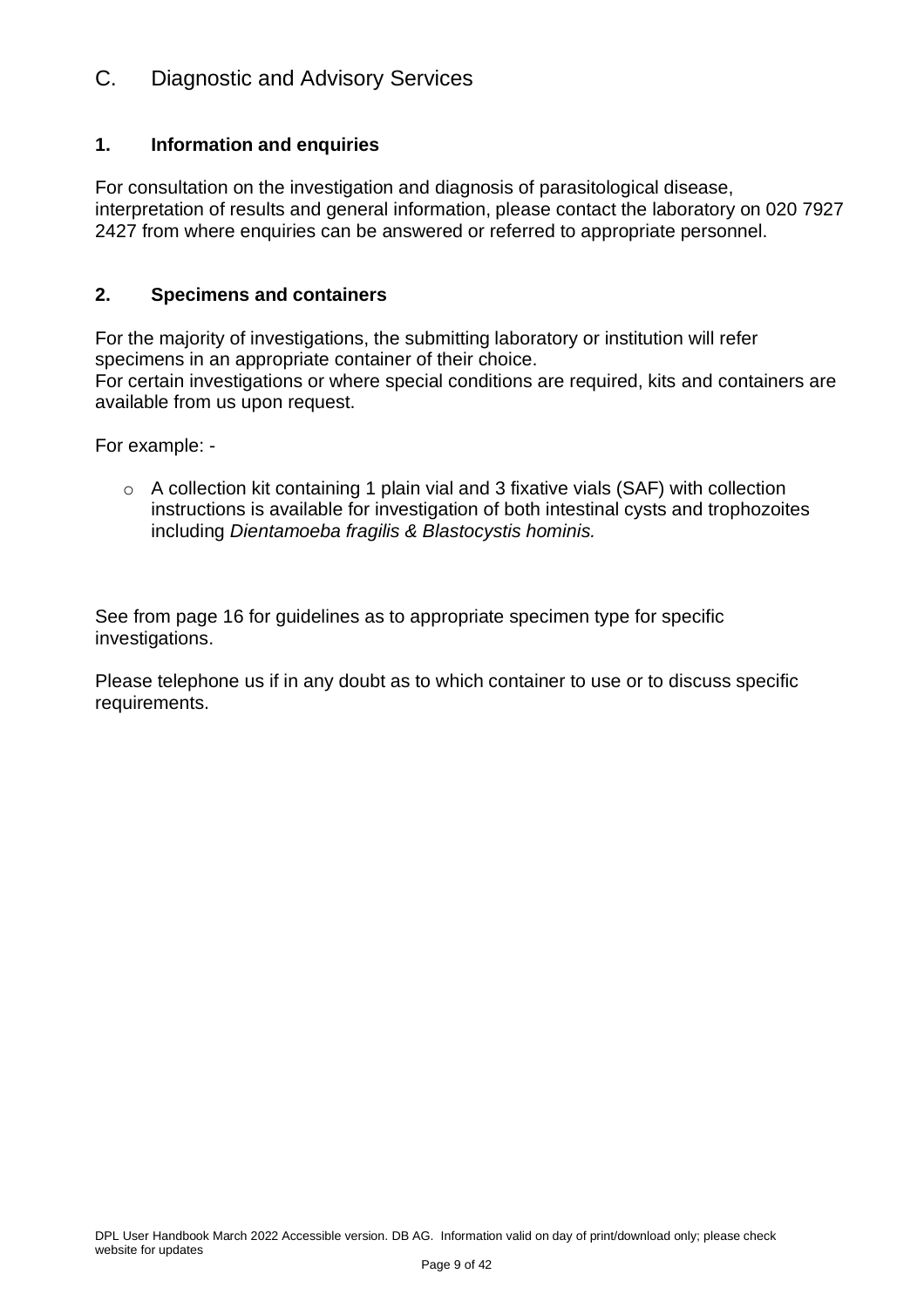## <span id="page-8-0"></span>C. Diagnostic and Advisory Services

#### <span id="page-8-1"></span>**1. Information and enquiries**

For consultation on the investigation and diagnosis of parasitological disease, interpretation of results and general information, please contact the laboratory on 020 7927 2427 from where enquiries can be answered or referred to appropriate personnel.

#### <span id="page-8-2"></span>**2. Specimens and containers**

For the majority of investigations, the submitting laboratory or institution will refer specimens in an appropriate container of their choice. For certain investigations or where special conditions are required, kits and containers are

available from us upon request.

For example: -

o A collection kit containing 1 plain vial and 3 fixative vials (SAF) with collection instructions is available for investigation of both intestinal cysts and trophozoites including *Dientamoeba fragilis & Blastocystis hominis.*

See from page 16 for guidelines as to appropriate specimen type for specific investigations.

Please telephone us if in any doubt as to which container to use or to discuss specific requirements.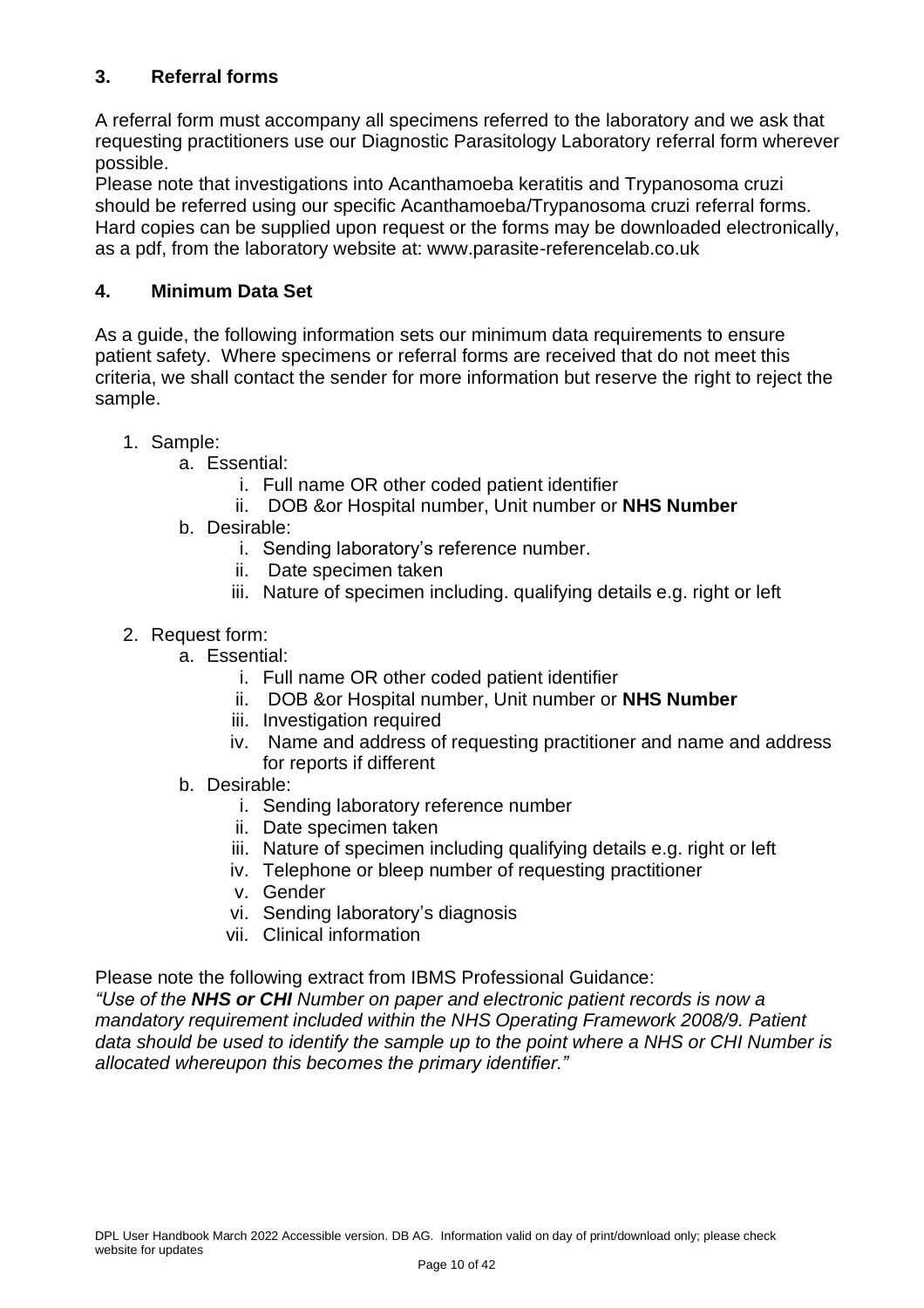## <span id="page-9-0"></span>**3. Referral forms**

A referral form must accompany all specimens referred to the laboratory and we ask that requesting practitioners use our Diagnostic Parasitology Laboratory referral form wherever possible.

Please note that investigations into Acanthamoeba keratitis and Trypanosoma cruzi should be referred using our specific Acanthamoeba/Trypanosoma cruzi referral forms. Hard copies can be supplied upon request or the forms may be downloaded electronically, as a pdf, from the laboratory website at: www.parasite-referencelab.co.uk

#### <span id="page-9-1"></span>**4. Minimum Data Set**

As a guide, the following information sets our minimum data requirements to ensure patient safety. Where specimens or referral forms are received that do not meet this criteria, we shall contact the sender for more information but reserve the right to reject the sample.

- 1. Sample:
	- a. Essential:
		- i. Full name OR other coded patient identifier
		- ii. DOB &or Hospital number, Unit number or **NHS Number**
	- b. Desirable:
		- i. Sending laboratory's reference number.
		- ii. Date specimen taken
		- iii. Nature of specimen including. qualifying details e.g. right or left
- 2. Request form:
	- a. Essential:
		- i. Full name OR other coded patient identifier
		- ii. DOB &or Hospital number, Unit number or **NHS Number**
		- iii. Investigation required
		- iv. Name and address of requesting practitioner and name and address for reports if different
	- b. Desirable:
		- i. Sending laboratory reference number
		- ii. Date specimen taken
		- iii. Nature of specimen including qualifying details e.g. right or left
		- iv. Telephone or bleep number of requesting practitioner
		- v. Gender
		- vi. Sending laboratory's diagnosis
		- vii. Clinical information

Please note the following extract from IBMS Professional Guidance:

*"Use of the NHS or CHI Number on paper and electronic patient records is now a mandatory requirement included within the NHS Operating Framework 2008/9. Patient data should be used to identify the sample up to the point where a NHS or CHI Number is allocated whereupon this becomes the primary identifier."*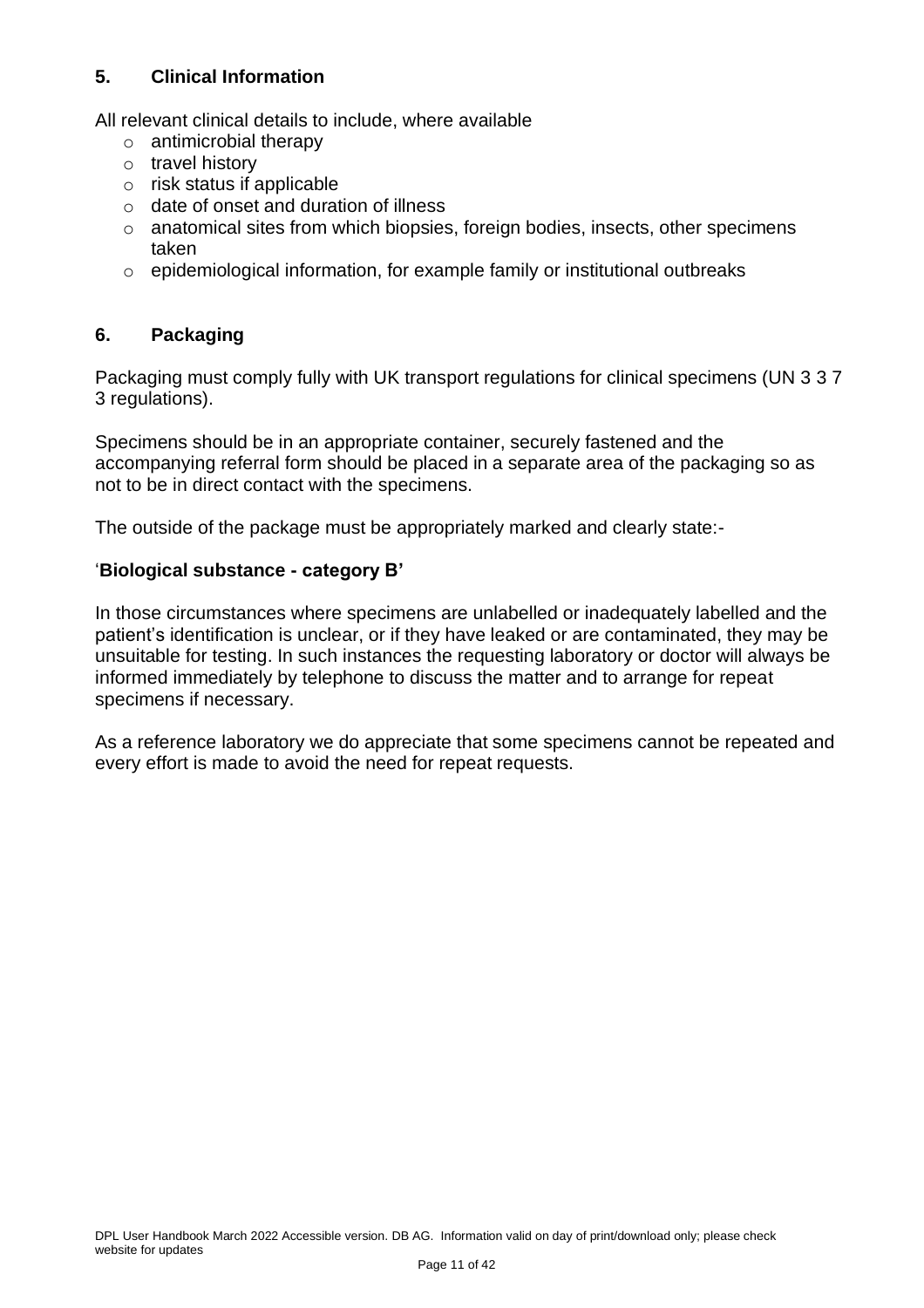#### <span id="page-10-0"></span>**5. Clinical Information**

All relevant clinical details to include, where available

- o antimicrobial therapy
- o travel history
- o risk status if applicable
- o date of onset and duration of illness
- o anatomical sites from which biopsies, foreign bodies, insects, other specimens taken
- $\circ$  epidemiological information, for example family or institutional outbreaks

#### <span id="page-10-1"></span>**6. Packaging**

Packaging must comply fully with UK transport regulations for clinical specimens (UN 3 3 7 3 regulations).

Specimens should be in an appropriate container, securely fastened and the accompanying referral form should be placed in a separate area of the packaging so as not to be in direct contact with the specimens.

The outside of the package must be appropriately marked and clearly state:-

#### '**Biological substance - category B'**

In those circumstances where specimens are unlabelled or inadequately labelled and the patient's identification is unclear, or if they have leaked or are contaminated, they may be unsuitable for testing. In such instances the requesting laboratory or doctor will always be informed immediately by telephone to discuss the matter and to arrange for repeat specimens if necessary.

As a reference laboratory we do appreciate that some specimens cannot be repeated and every effort is made to avoid the need for repeat requests.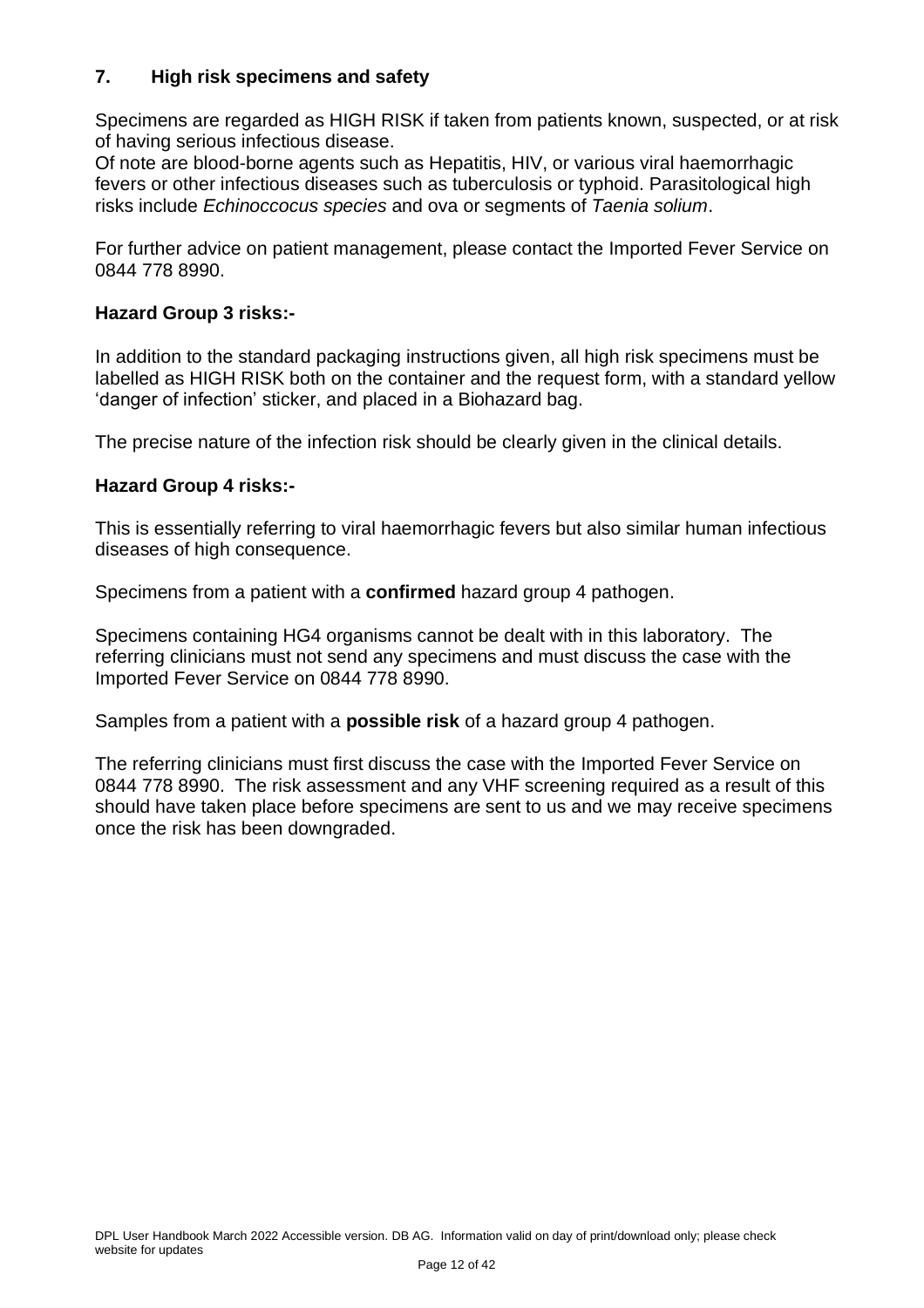#### <span id="page-11-0"></span>**7. High risk specimens and safety**

Specimens are regarded as HIGH RISK if taken from patients known, suspected, or at risk of having serious infectious disease.

Of note are blood-borne agents such as Hepatitis, HIV, or various viral haemorrhagic fevers or other infectious diseases such as tuberculosis or typhoid. Parasitological high risks include *Echinoccocus species* and ova or segments of *Taenia solium*.

For further advice on patient management, please contact the Imported Fever Service on 0844 778 8990.

#### **Hazard Group 3 risks:-**

In addition to the standard packaging instructions given, all high risk specimens must be labelled as HIGH RISK both on the container and the request form, with a standard yellow 'danger of infection' sticker, and placed in a Biohazard bag.

The precise nature of the infection risk should be clearly given in the clinical details.

#### **Hazard Group 4 risks:-**

This is essentially referring to viral haemorrhagic fevers but also similar human infectious diseases of high consequence.

Specimens from a patient with a **confirmed** hazard group 4 pathogen.

Specimens containing HG4 organisms cannot be dealt with in this laboratory. The referring clinicians must not send any specimens and must discuss the case with the Imported Fever Service on 0844 778 8990.

Samples from a patient with a **possible risk** of a hazard group 4 pathogen.

The referring clinicians must first discuss the case with the Imported Fever Service on 0844 778 8990. The risk assessment and any VHF screening required as a result of this should have taken place before specimens are sent to us and we may receive specimens once the risk has been downgraded.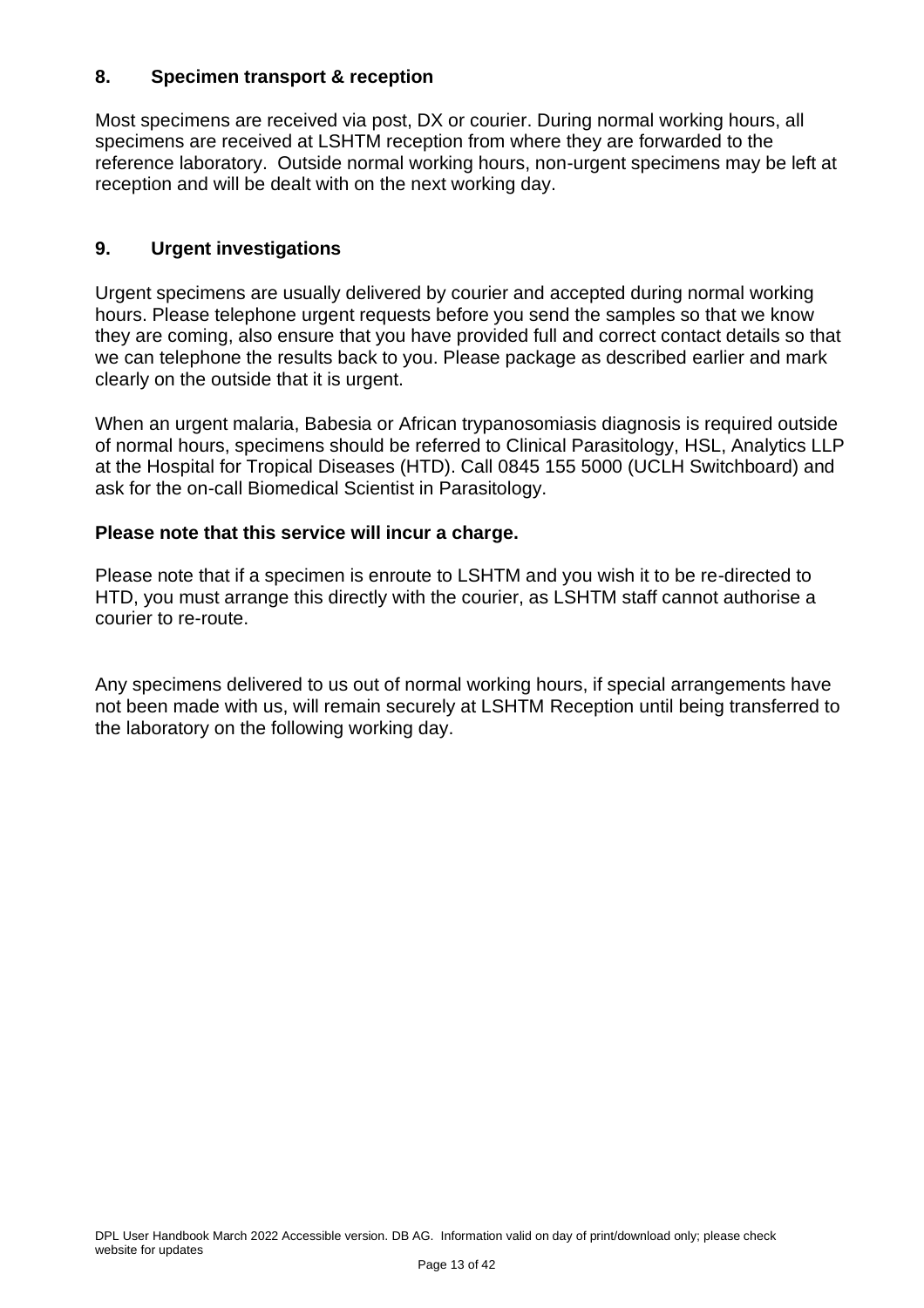#### <span id="page-12-0"></span>**8. Specimen transport & reception**

Most specimens are received via post, DX or courier. During normal working hours, all specimens are received at LSHTM reception from where they are forwarded to the reference laboratory. Outside normal working hours, non-urgent specimens may be left at reception and will be dealt with on the next working day.

#### <span id="page-12-1"></span>**9. Urgent investigations**

Urgent specimens are usually delivered by courier and accepted during normal working hours. Please telephone urgent requests before you send the samples so that we know they are coming, also ensure that you have provided full and correct contact details so that we can telephone the results back to you. Please package as described earlier and mark clearly on the outside that it is urgent.

When an urgent malaria, Babesia or African trypanosomiasis diagnosis is required outside of normal hours, specimens should be referred to Clinical Parasitology, HSL, Analytics LLP at the Hospital for Tropical Diseases (HTD). Call 0845 155 5000 (UCLH Switchboard) and ask for the on-call Biomedical Scientist in Parasitology.

#### **Please note that this service will incur a charge.**

Please note that if a specimen is enroute to LSHTM and you wish it to be re-directed to HTD, you must arrange this directly with the courier, as LSHTM staff cannot authorise a courier to re-route.

Any specimens delivered to us out of normal working hours, if special arrangements have not been made with us, will remain securely at LSHTM Reception until being transferred to the laboratory on the following working day.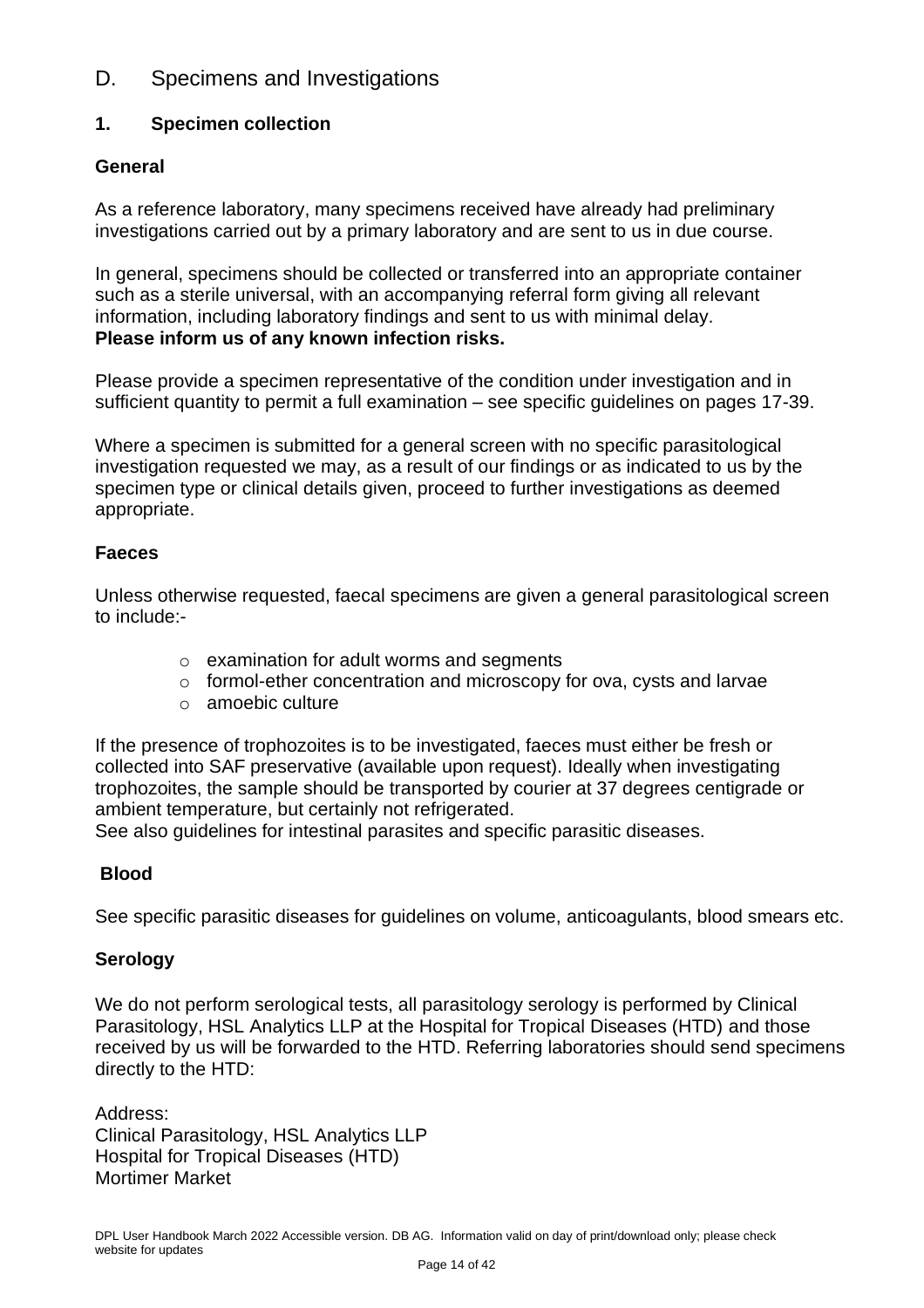## <span id="page-13-0"></span>D. Specimens and Investigations

#### <span id="page-13-1"></span>**1. Specimen collection**

#### **General**

As a reference laboratory, many specimens received have already had preliminary investigations carried out by a primary laboratory and are sent to us in due course.

In general, specimens should be collected or transferred into an appropriate container such as a sterile universal, with an accompanying referral form giving all relevant information, including laboratory findings and sent to us with minimal delay. **Please inform us of any known infection risks.**

Please provide a specimen representative of the condition under investigation and in sufficient quantity to permit a full examination – see specific guidelines on pages 17-39.

Where a specimen is submitted for a general screen with no specific parasitological investigation requested we may, as a result of our findings or as indicated to us by the specimen type or clinical details given, proceed to further investigations as deemed appropriate.

#### **Faeces**

Unless otherwise requested, faecal specimens are given a general parasitological screen to include:-

- o examination for adult worms and segments
- o formol-ether concentration and microscopy for ova, cysts and larvae
- o amoebic culture

If the presence of trophozoites is to be investigated, faeces must either be fresh or collected into SAF preservative (available upon request). Ideally when investigating trophozoites, the sample should be transported by courier at 37 degrees centigrade or ambient temperature, but certainly not refrigerated.

See also guidelines for intestinal parasites and specific parasitic diseases.

#### **Blood**

See specific parasitic diseases for guidelines on volume, anticoagulants, blood smears etc.

#### **Serology**

We do not perform serological tests, all parasitology serology is performed by Clinical Parasitology, HSL Analytics LLP at the Hospital for Tropical Diseases (HTD) and those received by us will be forwarded to the HTD. Referring laboratories should send specimens directly to the HTD:

Address: Clinical Parasitology, HSL Analytics LLP Hospital for Tropical Diseases (HTD) Mortimer Market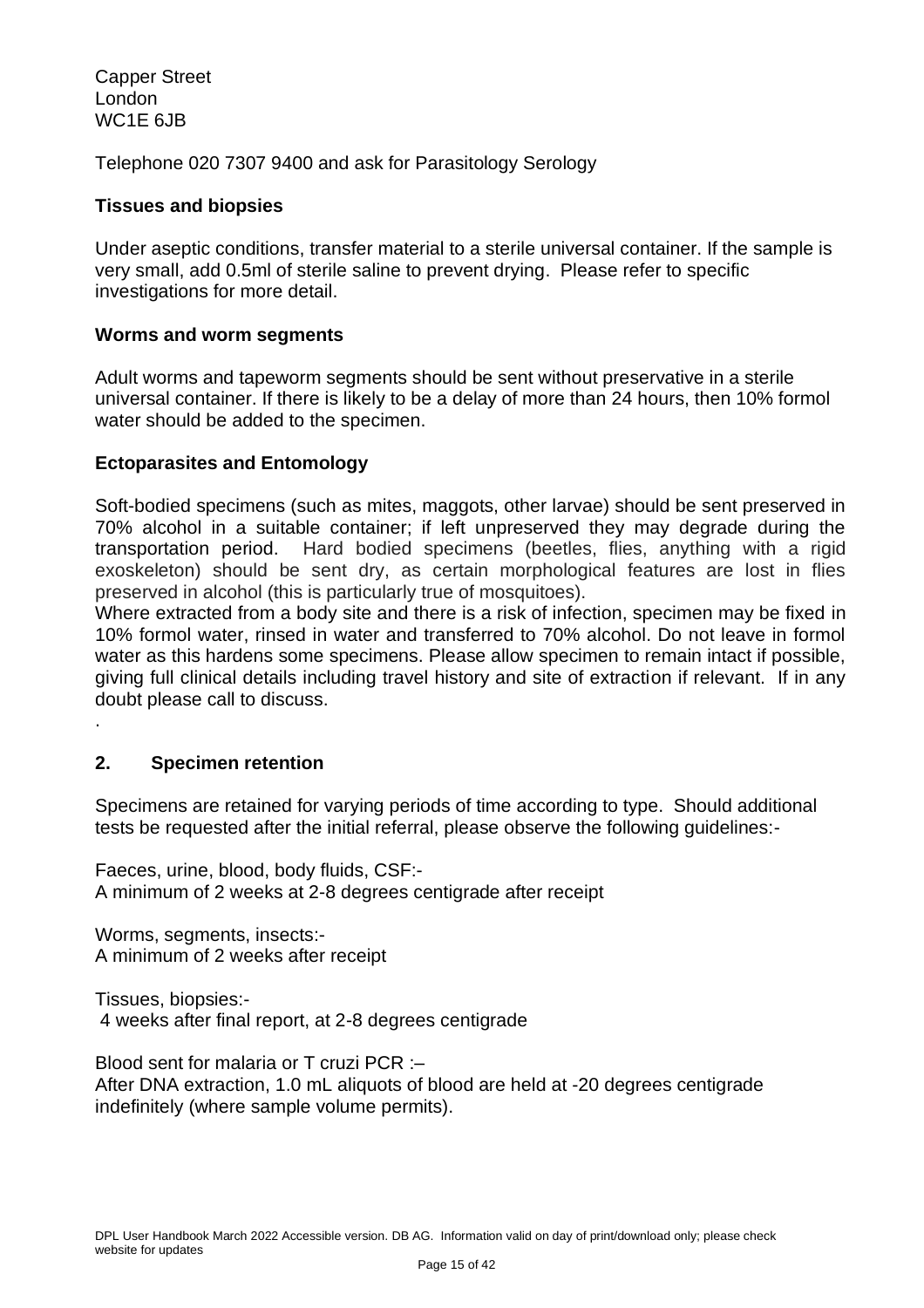Capper Street London WC1E 6JB

Telephone 020 7307 9400 and ask for Parasitology Serology

#### **Tissues and biopsies**

Under aseptic conditions, transfer material to a sterile universal container. If the sample is very small, add 0.5ml of sterile saline to prevent drying. Please refer to specific investigations for more detail.

#### **Worms and worm segments**

Adult worms and tapeworm segments should be sent without preservative in a sterile universal container. If there is likely to be a delay of more than 24 hours, then 10% formol water should be added to the specimen.

#### **Ectoparasites and Entomology**

Soft-bodied specimens (such as mites, maggots, other larvae) should be sent preserved in 70% alcohol in a suitable container; if left unpreserved they may degrade during the transportation period. Hard bodied specimens (beetles, flies, anything with a rigid exoskeleton) should be sent dry, as certain morphological features are lost in flies preserved in alcohol (this is particularly true of mosquitoes).

Where extracted from a body site and there is a risk of infection, specimen may be fixed in 10% formol water, rinsed in water and transferred to 70% alcohol. Do not leave in formol water as this hardens some specimens. Please allow specimen to remain intact if possible, giving full clinical details including travel history and site of extraction if relevant. If in any doubt please call to discuss.

#### <span id="page-14-0"></span>**2. Specimen retention**

.

Specimens are retained for varying periods of time according to type. Should additional tests be requested after the initial referral, please observe the following guidelines:-

Faeces, urine, blood, body fluids, CSF:- A minimum of 2 weeks at 2-8 degrees centigrade after receipt

Worms, segments, insects:- A minimum of 2 weeks after receipt

Tissues, biopsies:- 4 weeks after final report, at 2-8 degrees centigrade

Blood sent for malaria or T cruzi PCR :– After DNA extraction, 1.0 mL aliquots of blood are held at -20 degrees centigrade indefinitely (where sample volume permits).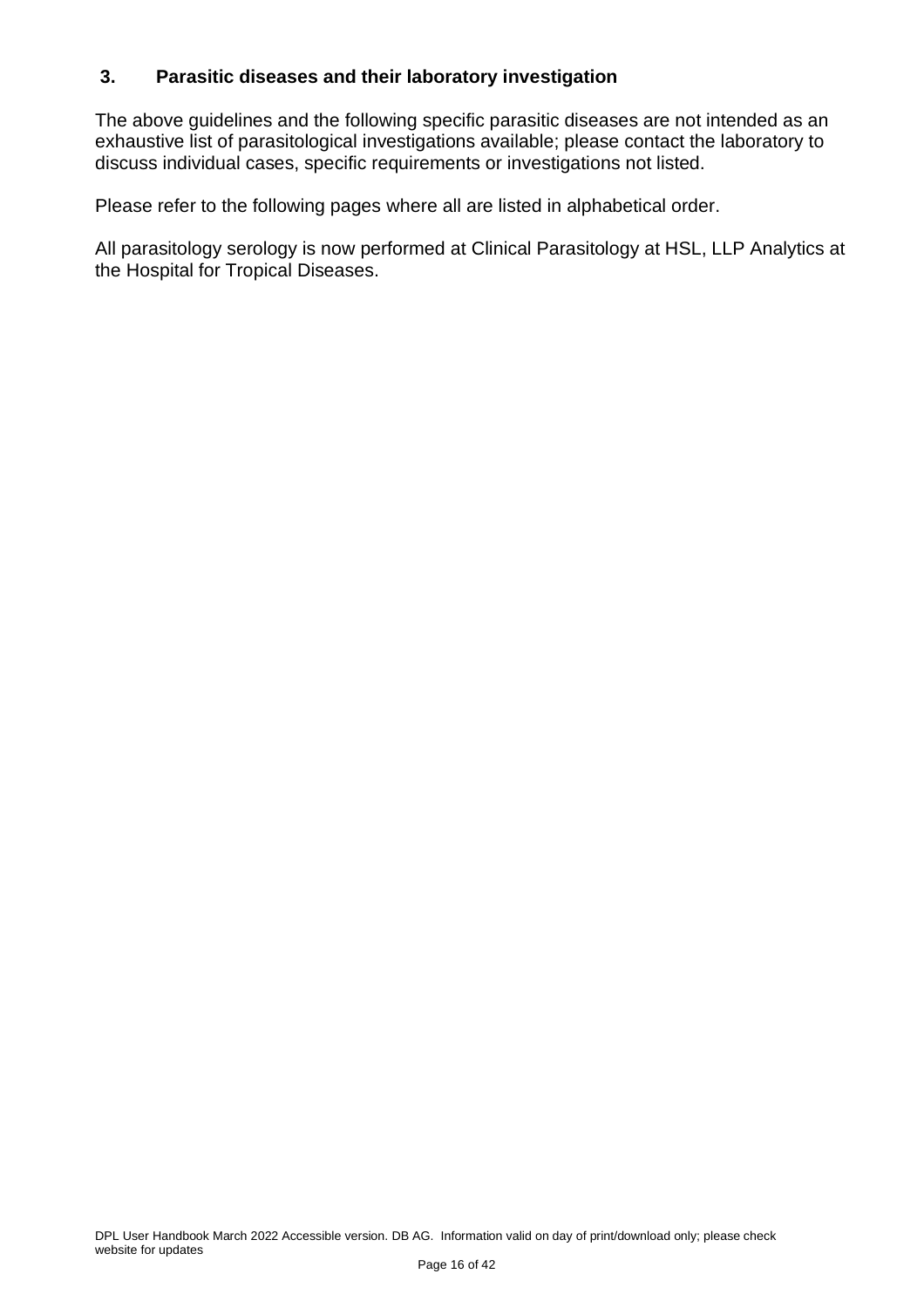#### <span id="page-15-0"></span>**3. Parasitic diseases and their laboratory investigation**

The above guidelines and the following specific parasitic diseases are not intended as an exhaustive list of parasitological investigations available; please contact the laboratory to discuss individual cases, specific requirements or investigations not listed.

Please refer to the following pages where all are listed in alphabetical order.

All parasitology serology is now performed at Clinical Parasitology at HSL, LLP Analytics at the Hospital for Tropical Diseases.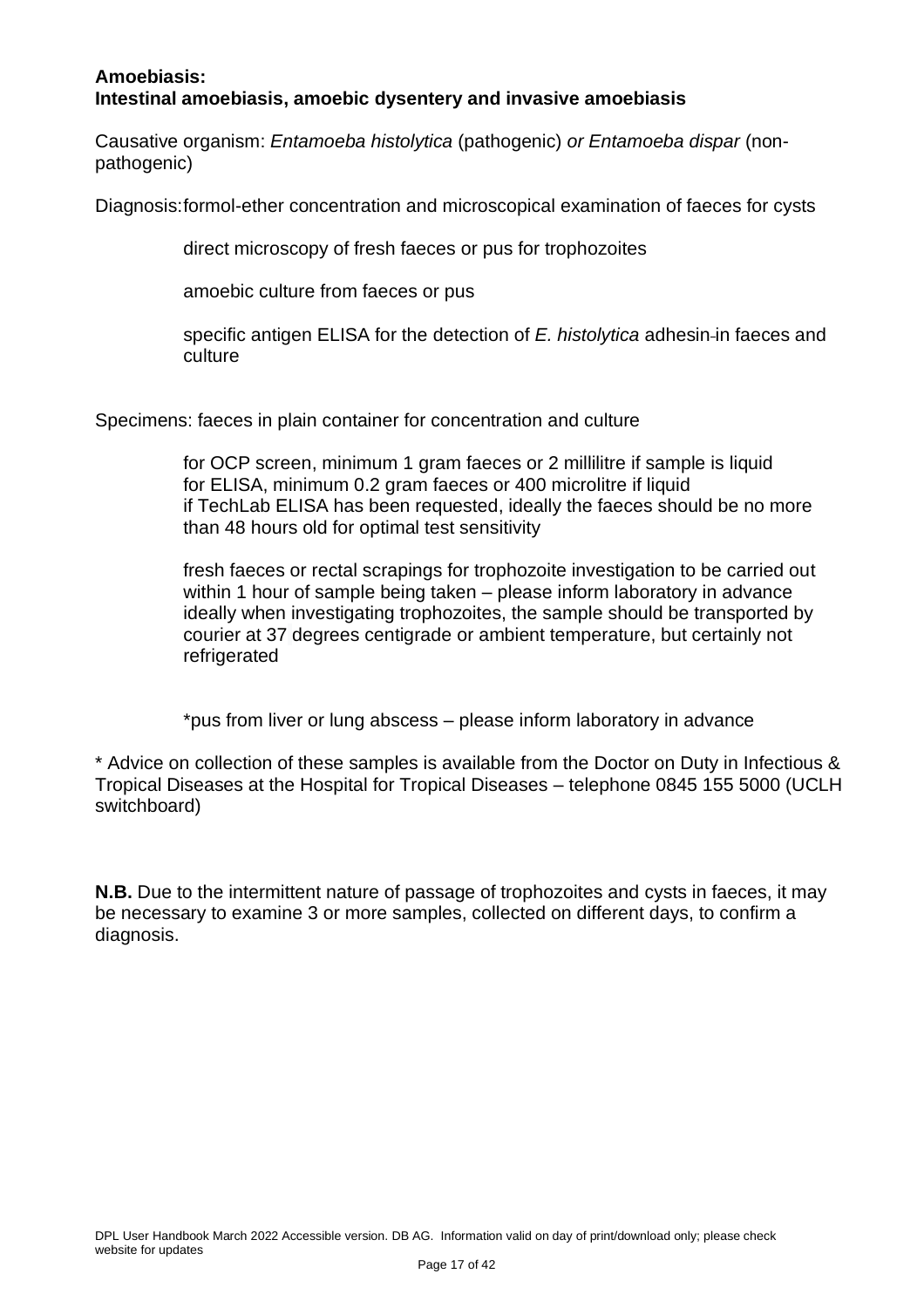#### <span id="page-16-0"></span>**Amoebiasis: Intestinal amoebiasis, amoebic dysentery and invasive amoebiasis**

Causative organism: *Entamoeba histolytica* (pathogenic) *or Entamoeba dispar* (nonpathogenic)

Diagnosis:formol-ether concentration and microscopical examination of faeces for cysts

direct microscopy of fresh faeces or pus for trophozoites

amoebic culture from faeces or pus

specific antigen ELISA for the detection of *E. histolytica* adhesin-in faeces and culture

Specimens: faeces in plain container for concentration and culture

for OCP screen, minimum 1 gram faeces or 2 millilitre if sample is liquid for ELISA, minimum 0.2 gram faeces or 400 microlitre if liquid if TechLab ELISA has been requested, ideally the faeces should be no more than 48 hours old for optimal test sensitivity

fresh faeces or rectal scrapings for trophozoite investigation to be carried out within 1 hour of sample being taken – please inform laboratory in advance ideally when investigating trophozoites, the sample should be transported by courier at 37 degrees centigrade or ambient temperature, but certainly not refrigerated

\*pus from liver or lung abscess – please inform laboratory in advance

\* Advice on collection of these samples is available from the Doctor on Duty in Infectious & Tropical Diseases at the Hospital for Tropical Diseases – telephone 0845 155 5000 (UCLH switchboard)

**N.B.** Due to the intermittent nature of passage of trophozoites and cysts in faeces, it may be necessary to examine 3 or more samples, collected on different days, to confirm a diagnosis.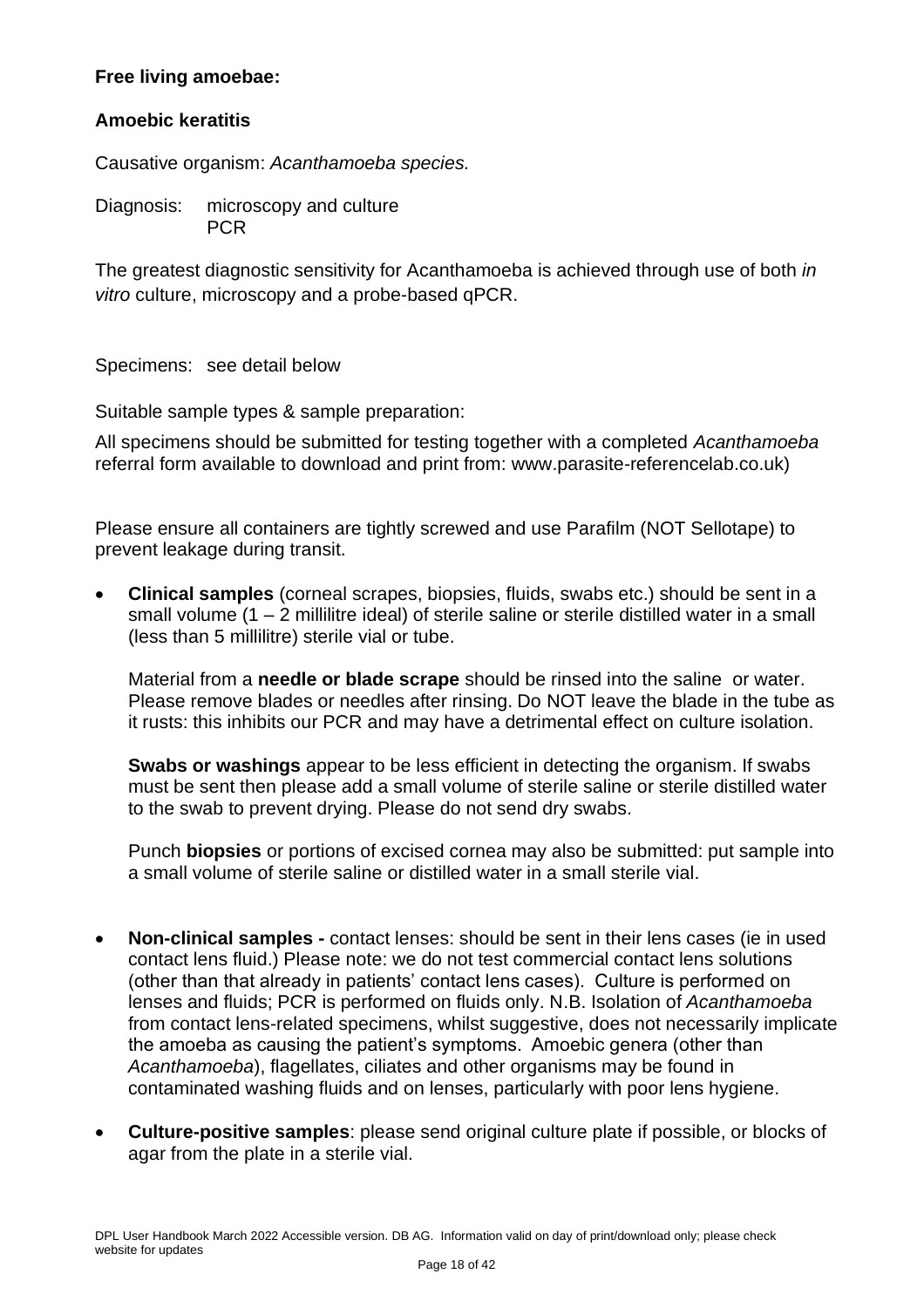#### <span id="page-17-0"></span>**Free living amoebae:**

#### <span id="page-17-1"></span>**Amoebic keratitis**

Causative organism: *Acanthamoeba species.*

Diagnosis: microscopy and culture PCR

The greatest diagnostic sensitivity for Acanthamoeba is achieved through use of both *in vitro* culture, microscopy and a probe-based qPCR.

Specimens: see detail below

Suitable sample types & sample preparation:

All specimens should be submitted for testing together with a completed *Acanthamoeba*  referral form available to download and print from: [www.parasite-referencelab.co.uk\)](http://www.parasite-referencelab.co.uk/)

Please ensure all containers are tightly screwed and use Parafilm (NOT Sellotape) to prevent leakage during transit.

• **Clinical samples** (corneal scrapes, biopsies, fluids, swabs etc.) should be sent in a small volume (1 – 2 millilitre ideal) of sterile saline or sterile distilled water in a small (less than 5 millilitre) sterile vial or tube.

Material from a **needle or blade scrape** should be rinsed into the saline or water. Please remove blades or needles after rinsing. Do NOT leave the blade in the tube as it rusts: this inhibits our PCR and may have a detrimental effect on culture isolation.

**Swabs or washings** appear to be less efficient in detecting the organism. If swabs must be sent then please add a small volume of sterile saline or sterile distilled water to the swab to prevent drying. Please do not send dry swabs.

Punch **biopsies** or portions of excised cornea may also be submitted: put sample into a small volume of sterile saline or distilled water in a small sterile vial.

- **Non-clinical samples -** contact lenses: should be sent in their lens cases (ie in used contact lens fluid.) Please note: we do not test commercial contact lens solutions (other than that already in patients' contact lens cases). Culture is performed on lenses and fluids; PCR is performed on fluids only. N.B. Isolation of *Acanthamoeba*  from contact lens-related specimens, whilst suggestive, does not necessarily implicate the amoeba as causing the patient's symptoms. Amoebic genera (other than *Acanthamoeba*), flagellates, ciliates and other organisms may be found in contaminated washing fluids and on lenses, particularly with poor lens hygiene.
- **Culture-positive samples**: please send original culture plate if possible, or blocks of agar from the plate in a sterile vial.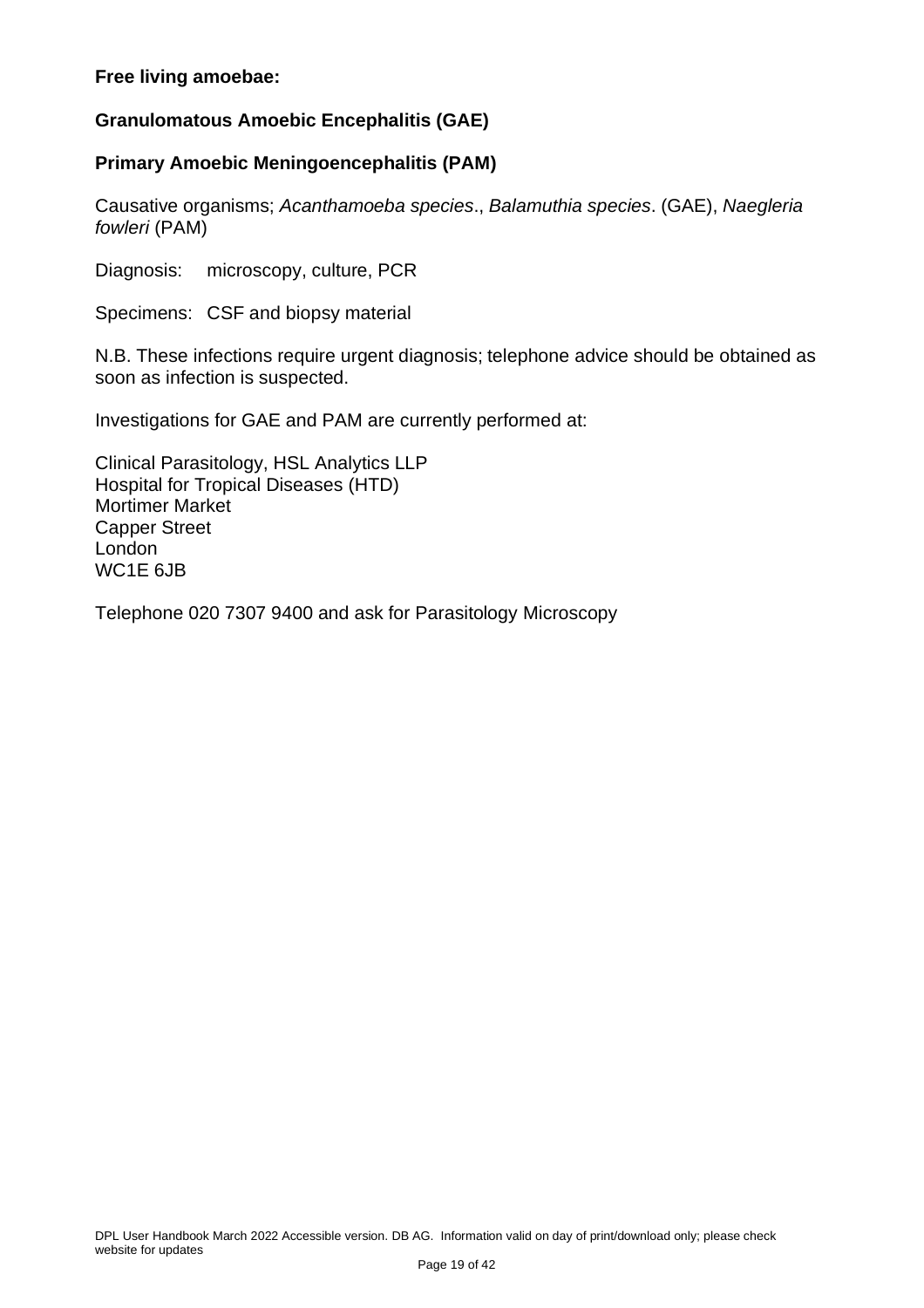#### **Free living amoebae:**

#### <span id="page-18-0"></span>**Granulomatous Amoebic Encephalitis (GAE)**

#### <span id="page-18-1"></span>**Primary Amoebic Meningoencephalitis (PAM)**

Causative organisms; *Acanthamoeba species*., *Balamuthia species*. (GAE), *Naegleria fowleri* (PAM)

Diagnosis: microscopy, culture, PCR

Specimens: CSF and biopsy material

N.B. These infections require urgent diagnosis; telephone advice should be obtained as soon as infection is suspected.

Investigations for GAE and PAM are currently performed at:

Clinical Parasitology, HSL Analytics LLP Hospital for Tropical Diseases (HTD) Mortimer Market Capper Street London WC1E 6JB

Telephone 020 7307 9400 and ask for Parasitology Microscopy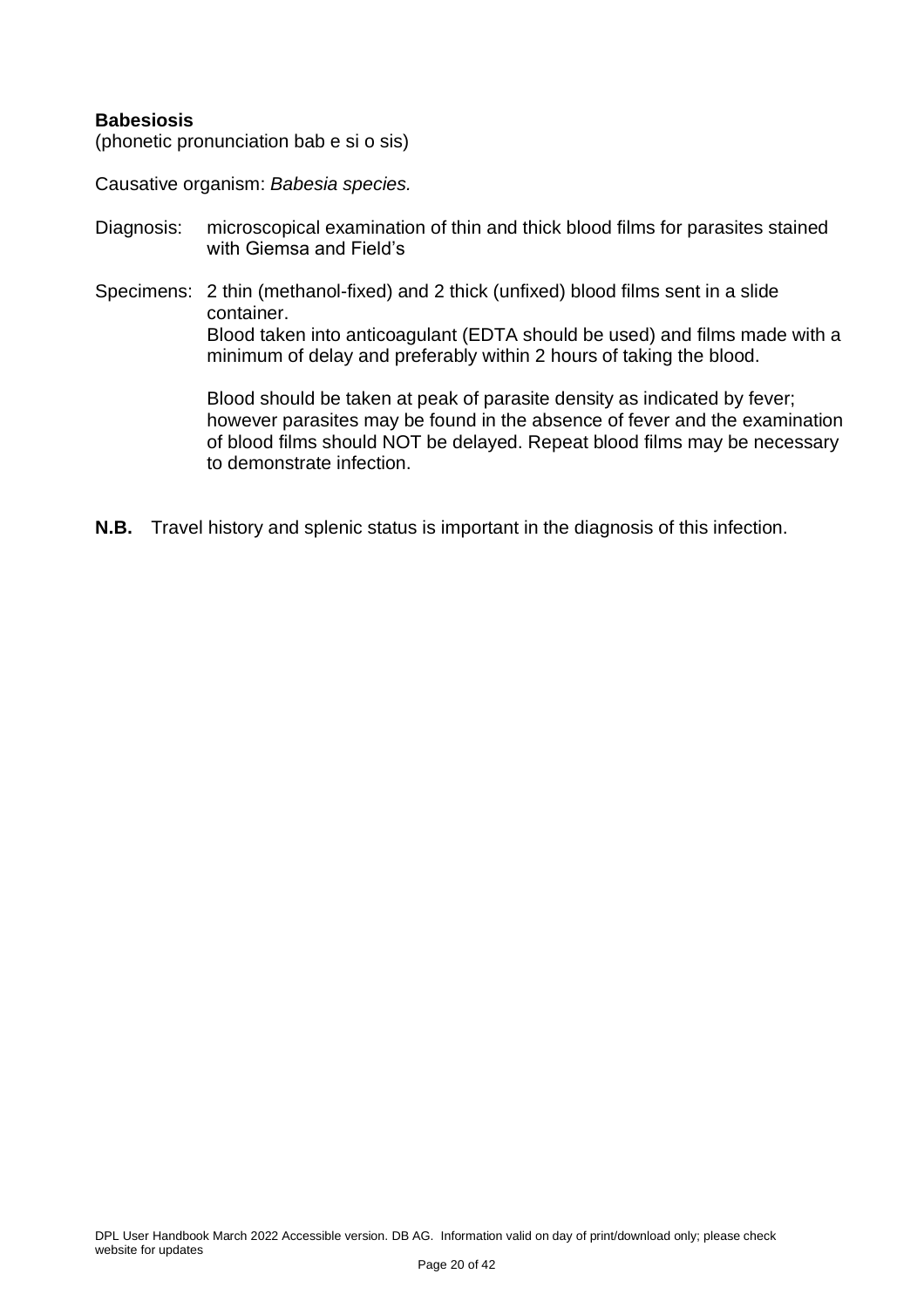#### <span id="page-19-0"></span>**Babesiosis**

(phonetic pronunciation bab e si o sis)

Causative organism: *Babesia species.*

- Diagnosis: microscopical examination of thin and thick blood films for parasites stained with Giemsa and Field's
- Specimens: 2 thin (methanol-fixed) and 2 thick (unfixed) blood films sent in a slide container. Blood taken into anticoagulant (EDTA should be used) and films made with a minimum of delay and preferably within 2 hours of taking the blood.

Blood should be taken at peak of parasite density as indicated by fever; however parasites may be found in the absence of fever and the examination of blood films should NOT be delayed. Repeat blood films may be necessary to demonstrate infection.

**N.B.** Travel history and splenic status is important in the diagnosis of this infection.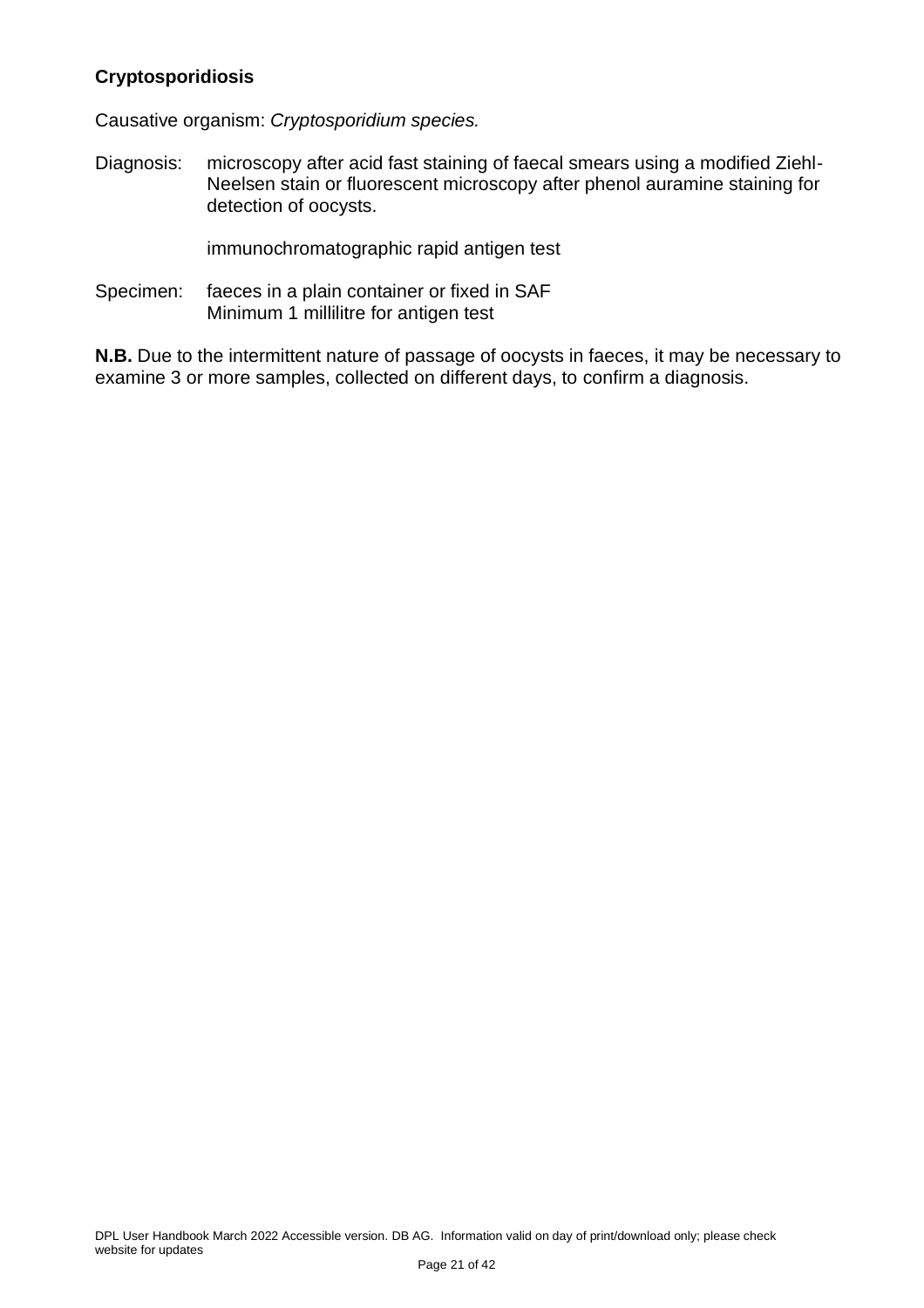#### <span id="page-20-0"></span>**Cryptosporidiosis**

Causative organism: *Cryptosporidium species.*

Diagnosis: microscopy after acid fast staining of faecal smears using a modified Ziehl-Neelsen stain or fluorescent microscopy after phenol auramine staining for detection of oocysts.

immunochromatographic rapid antigen test

Specimen: faeces in a plain container or fixed in SAF Minimum 1 millilitre for antigen test

**N.B.** Due to the intermittent nature of passage of oocysts in faeces, it may be necessary to examine 3 or more samples, collected on different days, to confirm a diagnosis.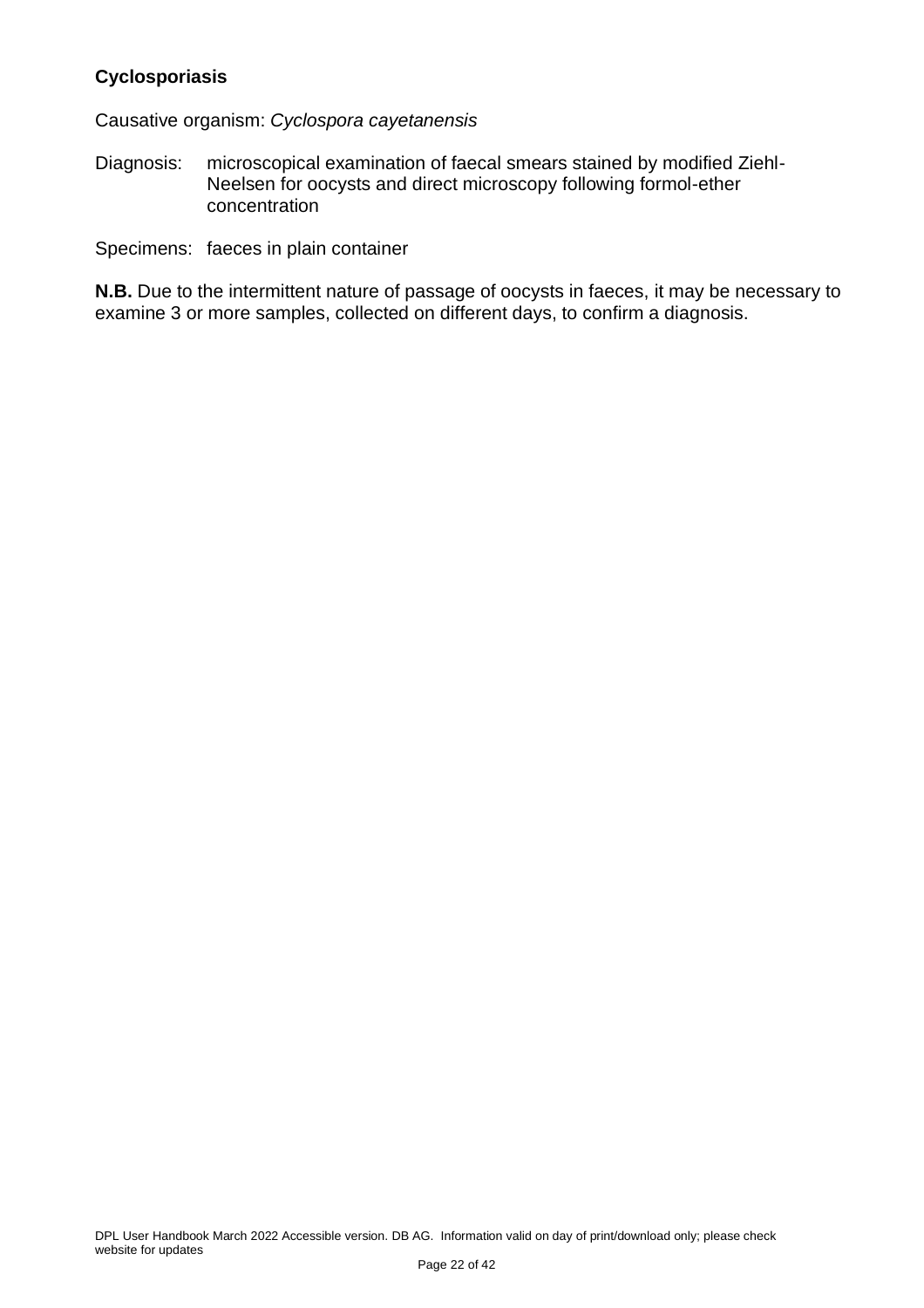#### <span id="page-21-0"></span>**Cyclosporiasis**

Causative organism: *Cyclospora cayetanensis*

Diagnosis: microscopical examination of faecal smears stained by modified Ziehl-Neelsen for oocysts and direct microscopy following formol-ether concentration

Specimens: faeces in plain container

**N.B.** Due to the intermittent nature of passage of oocysts in faeces, it may be necessary to examine 3 or more samples, collected on different days, to confirm a diagnosis.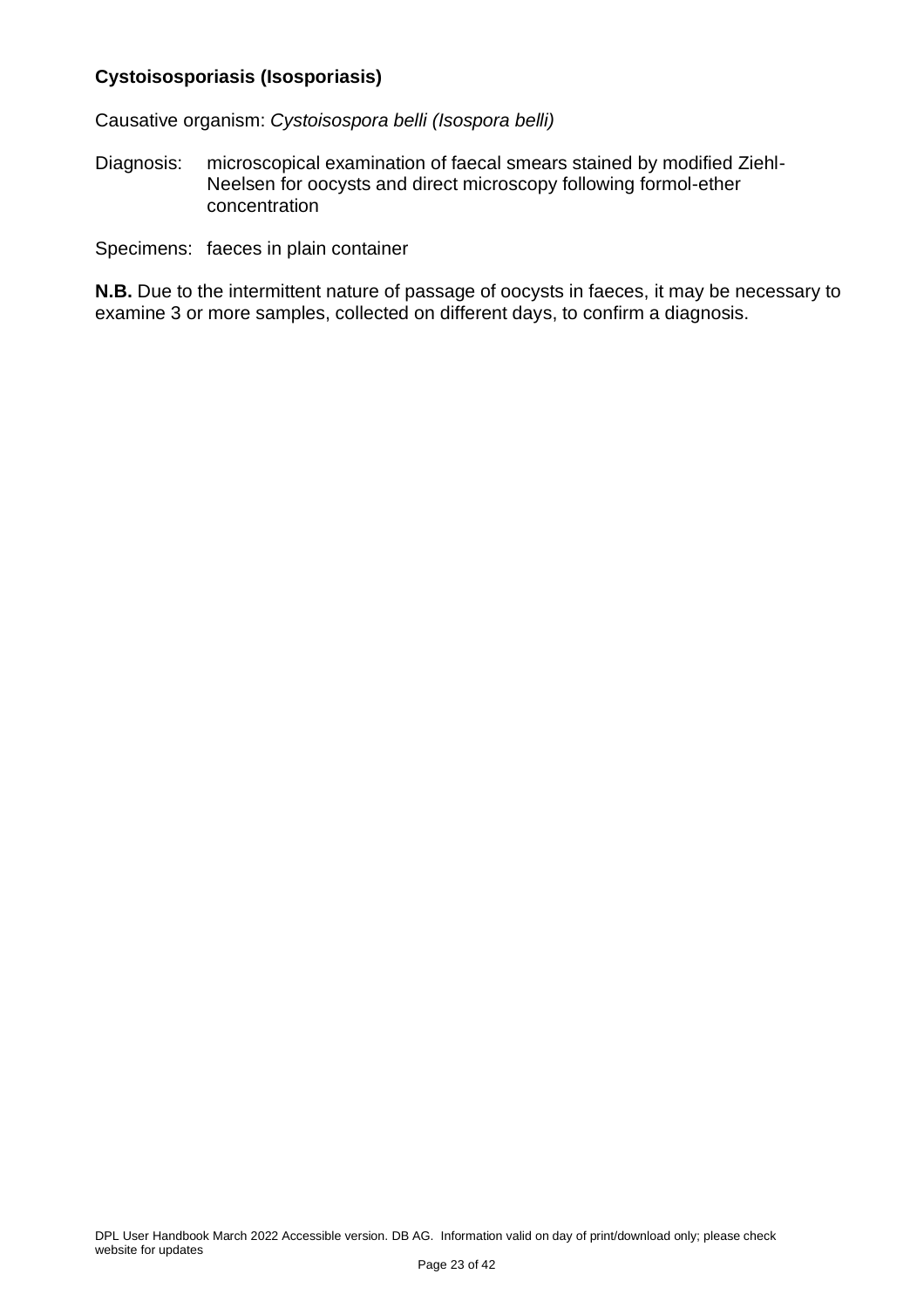#### <span id="page-22-0"></span>**Cystoisosporiasis (Isosporiasis)**

Causative organism: *Cystoisospora belli (Isospora belli)*

Diagnosis: microscopical examination of faecal smears stained by modified Ziehl-Neelsen for oocysts and direct microscopy following formol-ether concentration

Specimens: faeces in plain container

**N.B.** Due to the intermittent nature of passage of oocysts in faeces, it may be necessary to examine 3 or more samples, collected on different days, to confirm a diagnosis.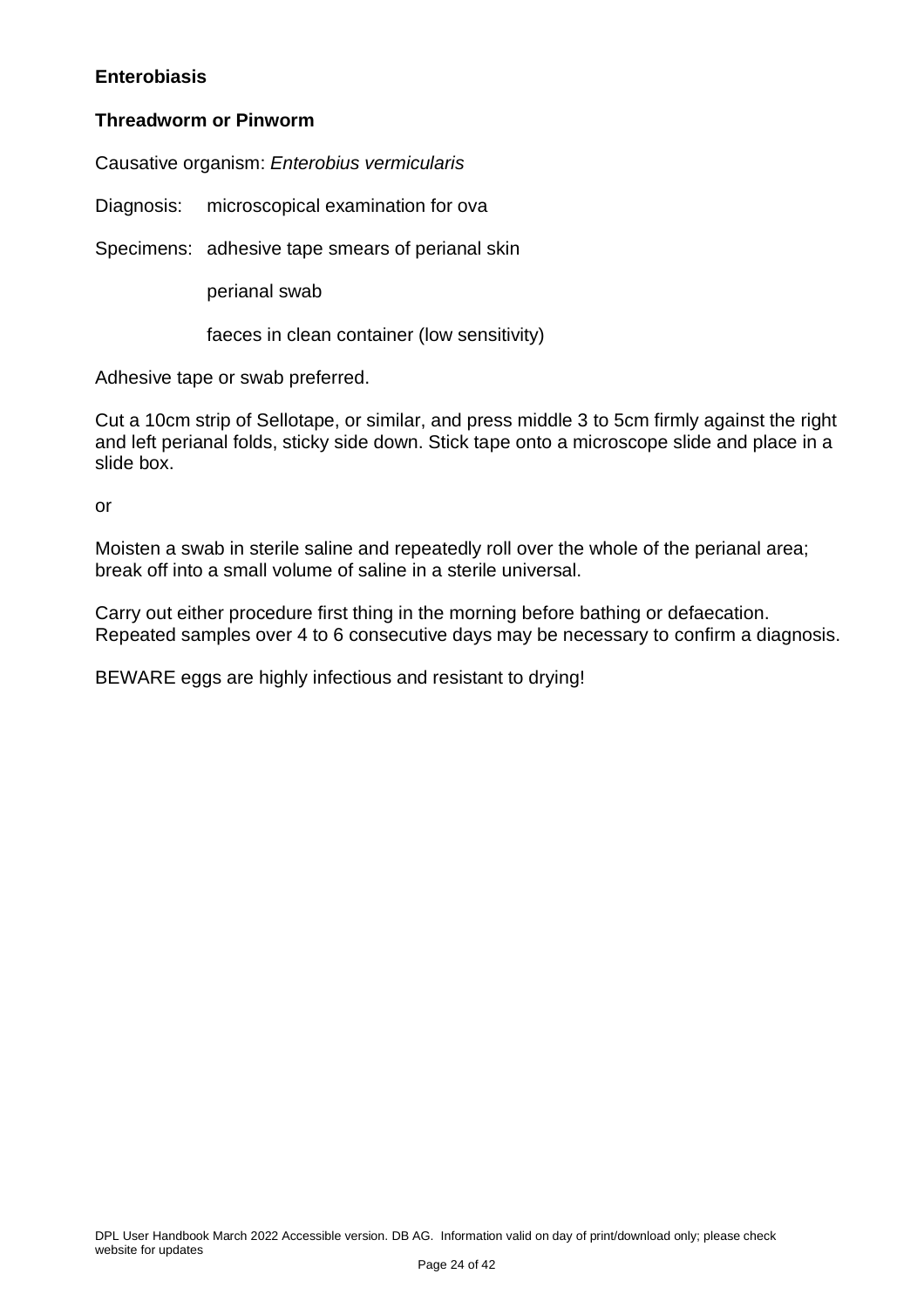#### <span id="page-23-0"></span>**Enterobiasis**

#### **Threadworm or Pinworm**

Causative organism: *Enterobius vermicularis*

Diagnosis: microscopical examination for ova

Specimens: adhesive tape smears of perianal skin

perianal swab

faeces in clean container (low sensitivity)

Adhesive tape or swab preferred.

Cut a 10cm strip of Sellotape, or similar, and press middle 3 to 5cm firmly against the right and left perianal folds, sticky side down. Stick tape onto a microscope slide and place in a slide box.

or

Moisten a swab in sterile saline and repeatedly roll over the whole of the perianal area; break off into a small volume of saline in a sterile universal.

Carry out either procedure first thing in the morning before bathing or defaecation. Repeated samples over 4 to 6 consecutive days may be necessary to confirm a diagnosis.

BEWARE eggs are highly infectious and resistant to drying!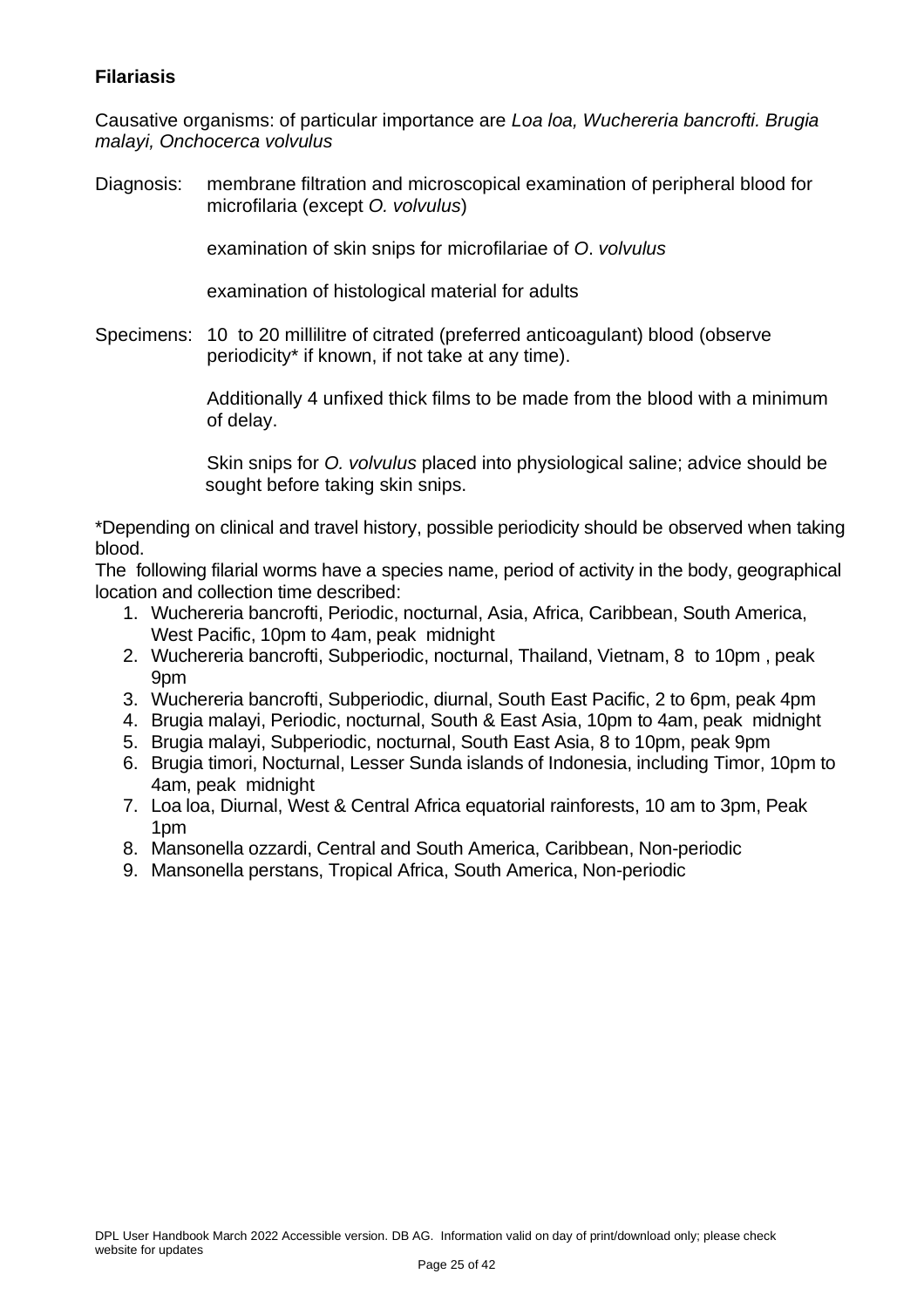#### <span id="page-24-0"></span>**Filariasis**

Causative organisms: of particular importance are *Loa loa, Wuchereria bancrofti. Brugia malayi, Onchocerca volvulus*

Diagnosis: membrane filtration and microscopical examination of peripheral blood for microfilaria (except *O. volvulus*)

examination of skin snips for microfilariae of *O*. *volvulus*

examination of histological material for adults

Specimens: 10 to 20 millilitre of citrated (preferred anticoagulant) blood (observe periodicity\* if known, if not take at any time).

> Additionally 4 unfixed thick films to be made from the blood with a minimum of delay.

> Skin snips for *O. volvulus* placed into physiological saline; advice should be sought before taking skin snips.

\*Depending on clinical and travel history, possible periodicity should be observed when taking blood.

The following filarial worms have a species name, period of activity in the body, geographical location and collection time described:

- 1. Wuchereria bancrofti, Periodic, nocturnal, Asia, Africa, Caribbean, South America, West Pacific, 10pm to 4am, peak midnight
- 2. Wuchereria bancrofti, Subperiodic, nocturnal, Thailand, Vietnam, 8 to 10pm , peak 9pm
- 3. Wuchereria bancrofti, Subperiodic, diurnal, South East Pacific, 2 to 6pm, peak 4pm
- 4. Brugia malayi, Periodic, nocturnal, South & East Asia, 10pm to 4am, peak midnight
- 5. Brugia malayi, Subperiodic, nocturnal, South East Asia, 8 to 10pm, peak 9pm
- 6. Brugia timori, Nocturnal, Lesser Sunda islands of Indonesia, including Timor, 10pm to 4am, peak midnight
- 7. Loa loa, Diurnal, West & Central Africa equatorial rainforests, 10 am to 3pm, Peak 1pm
- 8. Mansonella ozzardi, Central and South America, Caribbean, Non-periodic
- 9. Mansonella perstans, Tropical Africa, South America, Non-periodic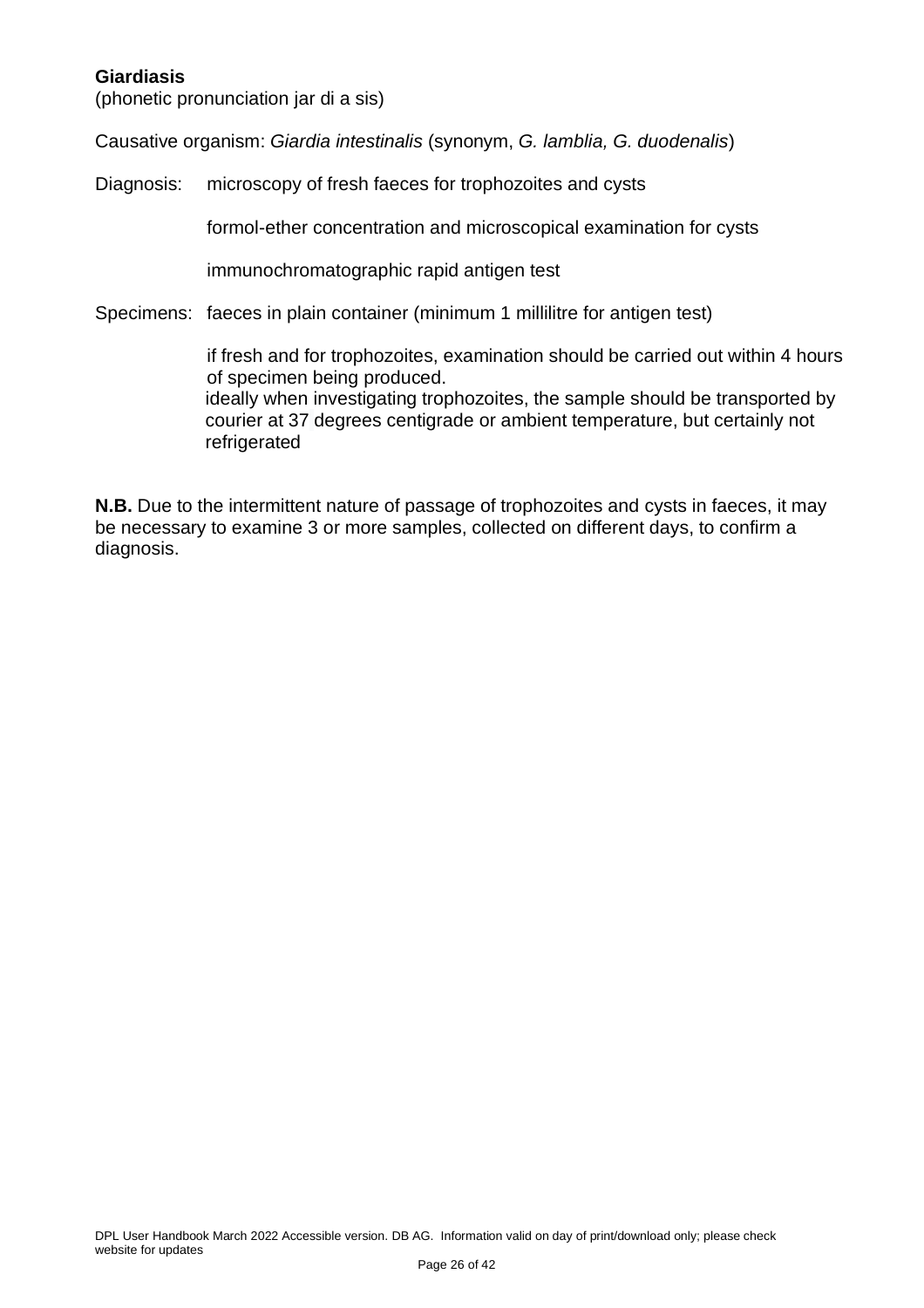#### <span id="page-25-0"></span>**Giardiasis**

(phonetic pronunciation jar di a sis)

Causative organism: *Giardia intestinalis* (synonym, *G. lamblia, G. duodenalis*)

Diagnosis: microscopy of fresh faeces for trophozoites and cysts

formol-ether concentration and microscopical examination for cysts

immunochromatographic rapid antigen test

Specimens: faeces in plain container (minimum 1 millilitre for antigen test)

if fresh and for trophozoites, examination should be carried out within 4 hours of specimen being produced. ideally when investigating trophozoites, the sample should be transported by courier at 37 degrees centigrade or ambient temperature, but certainly not refrigerated

**N.B.** Due to the intermittent nature of passage of trophozoites and cysts in faeces, it may be necessary to examine 3 or more samples, collected on different days, to confirm a diagnosis.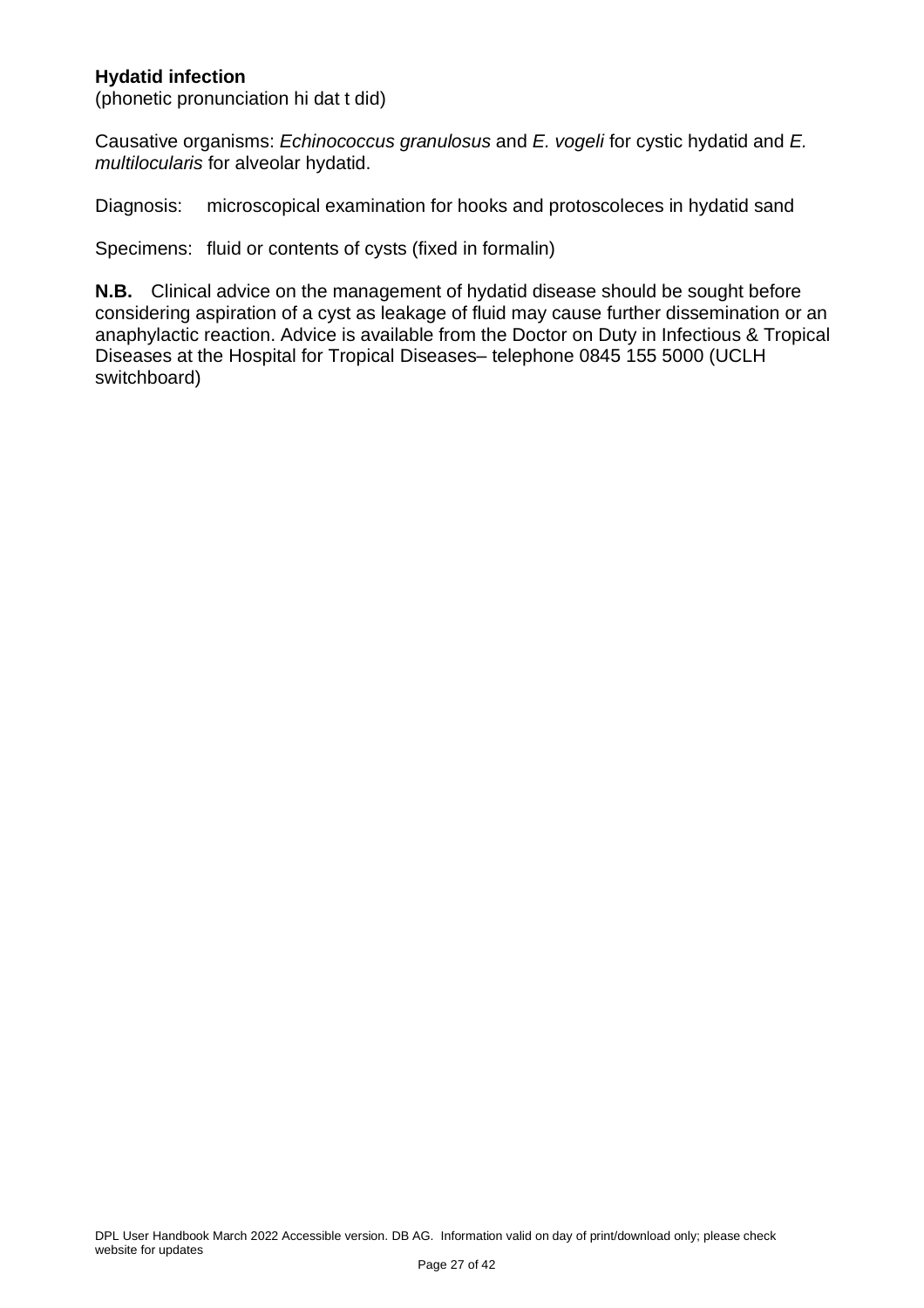#### <span id="page-26-0"></span>**Hydatid infection**

(phonetic pronunciation hi dat t did)

Causative organisms: *Echinococcus granulosus* and *E. vogeli* for cystic hydatid and *E. multilocularis* for alveolar hydatid.

Diagnosis: microscopical examination for hooks and protoscoleces in hydatid sand

Specimens: fluid or contents of cysts (fixed in formalin)

**N.B.** Clinical advice on the management of hydatid disease should be sought before considering aspiration of a cyst as leakage of fluid may cause further dissemination or an anaphylactic reaction. Advice is available from the Doctor on Duty in Infectious & Tropical Diseases at the Hospital for Tropical Diseases– telephone 0845 155 5000 (UCLH switchboard)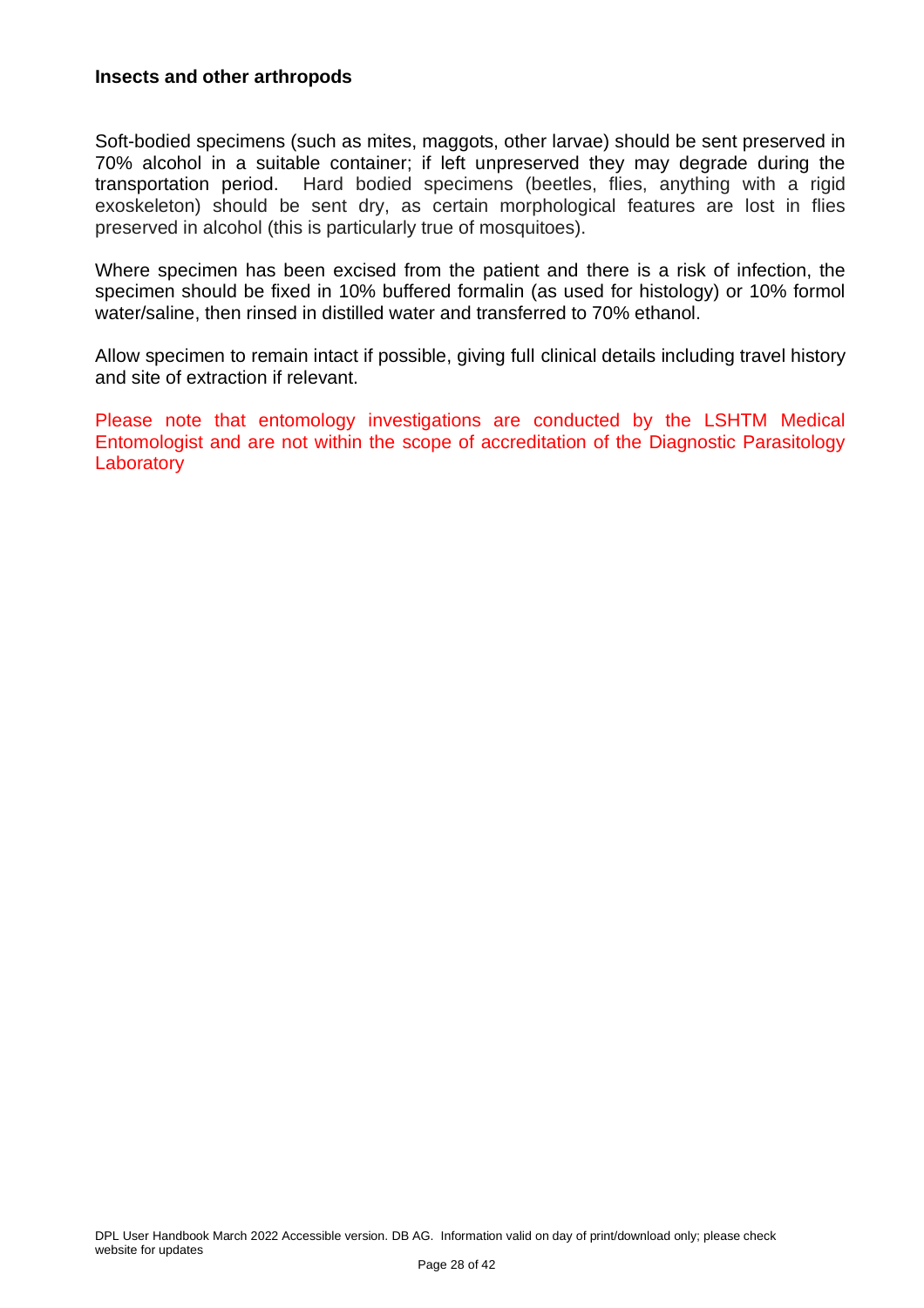#### <span id="page-27-0"></span>**Insects and other arthropods**

Soft-bodied specimens (such as mites, maggots, other larvae) should be sent preserved in 70% alcohol in a suitable container; if left unpreserved they may degrade during the transportation period. Hard bodied specimens (beetles, flies, anything with a rigid exoskeleton) should be sent dry, as certain morphological features are lost in flies preserved in alcohol (this is particularly true of mosquitoes).

Where specimen has been excised from the patient and there is a risk of infection, the specimen should be fixed in 10% buffered formalin (as used for histology) or 10% formol water/saline, then rinsed in distilled water and transferred to 70% ethanol.

Allow specimen to remain intact if possible, giving full clinical details including travel history and site of extraction if relevant.

Please note that entomology investigations are conducted by the LSHTM Medical Entomologist and are not within the scope of accreditation of the Diagnostic Parasitology **Laboratory**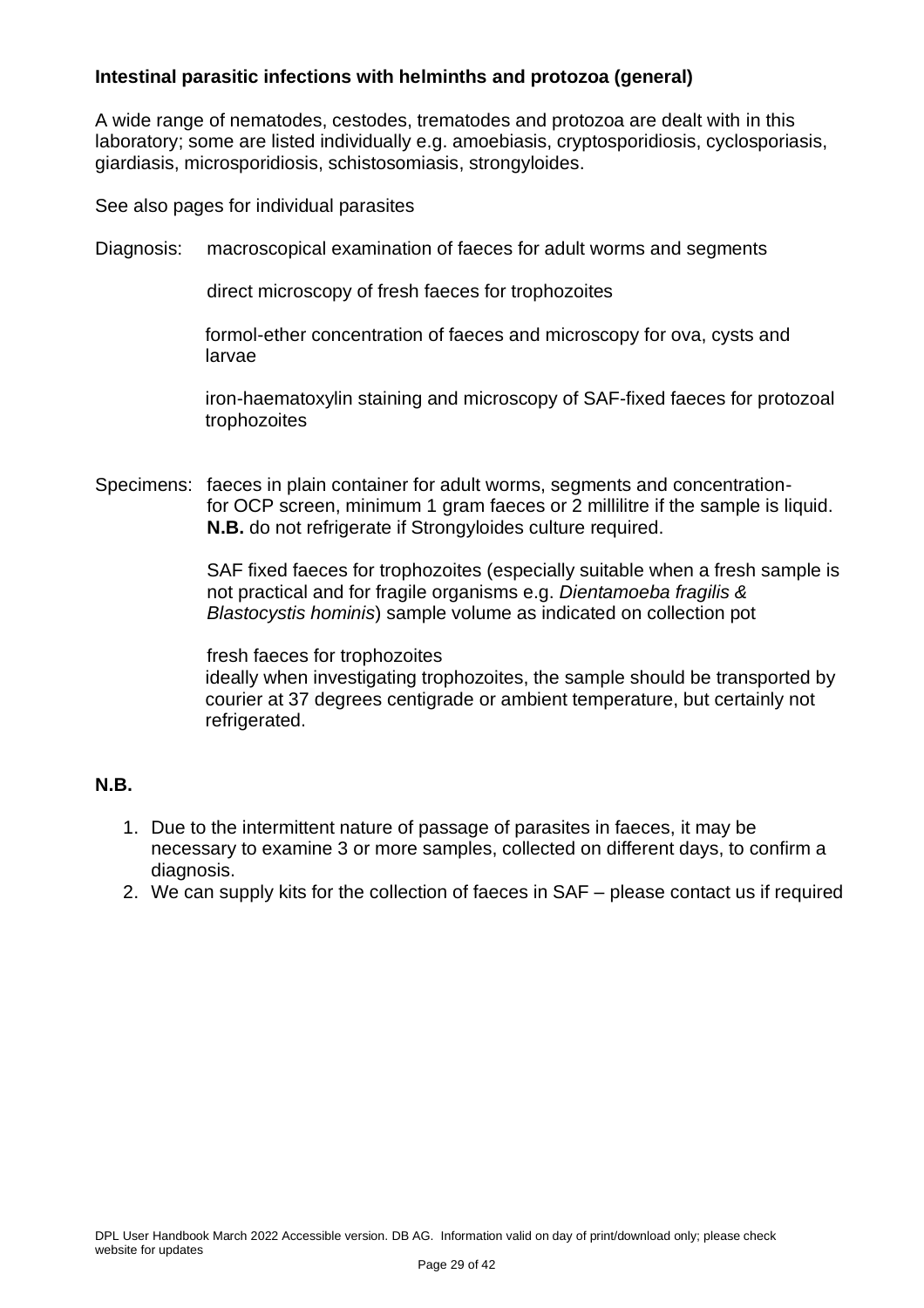#### <span id="page-28-0"></span>**Intestinal parasitic infections with helminths and protozoa (general)**

A wide range of nematodes, cestodes, trematodes and protozoa are dealt with in this laboratory; some are listed individually e.g. amoebiasis, cryptosporidiosis, cyclosporiasis, giardiasis, microsporidiosis, schistosomiasis, strongyloides.

See also pages for individual parasites

Diagnosis: macroscopical examination of faeces for adult worms and segments

direct microscopy of fresh faeces for trophozoites

formol-ether concentration of faeces and microscopy for ova, cysts and larvae

iron-haematoxylin staining and microscopy of SAF-fixed faeces for protozoal trophozoites

Specimens: faeces in plain container for adult worms, segments and concentrationfor OCP screen, minimum 1 gram faeces or 2 millilitre if the sample is liquid. **N.B.** do not refrigerate if Strongyloides culture required.

> SAF fixed faeces for trophozoites (especially suitable when a fresh sample is not practical and for fragile organisms e.g. *Dientamoeba fragilis & Blastocystis hominis*) sample volume as indicated on collection pot

> fresh faeces for trophozoites ideally when investigating trophozoites, the sample should be transported by courier at 37 degrees centigrade or ambient temperature, but certainly not refrigerated.

#### **N.B.**

- 1. Due to the intermittent nature of passage of parasites in faeces, it may be necessary to examine 3 or more samples, collected on different days, to confirm a diagnosis.
- 2. We can supply kits for the collection of faeces in SAF please contact us if required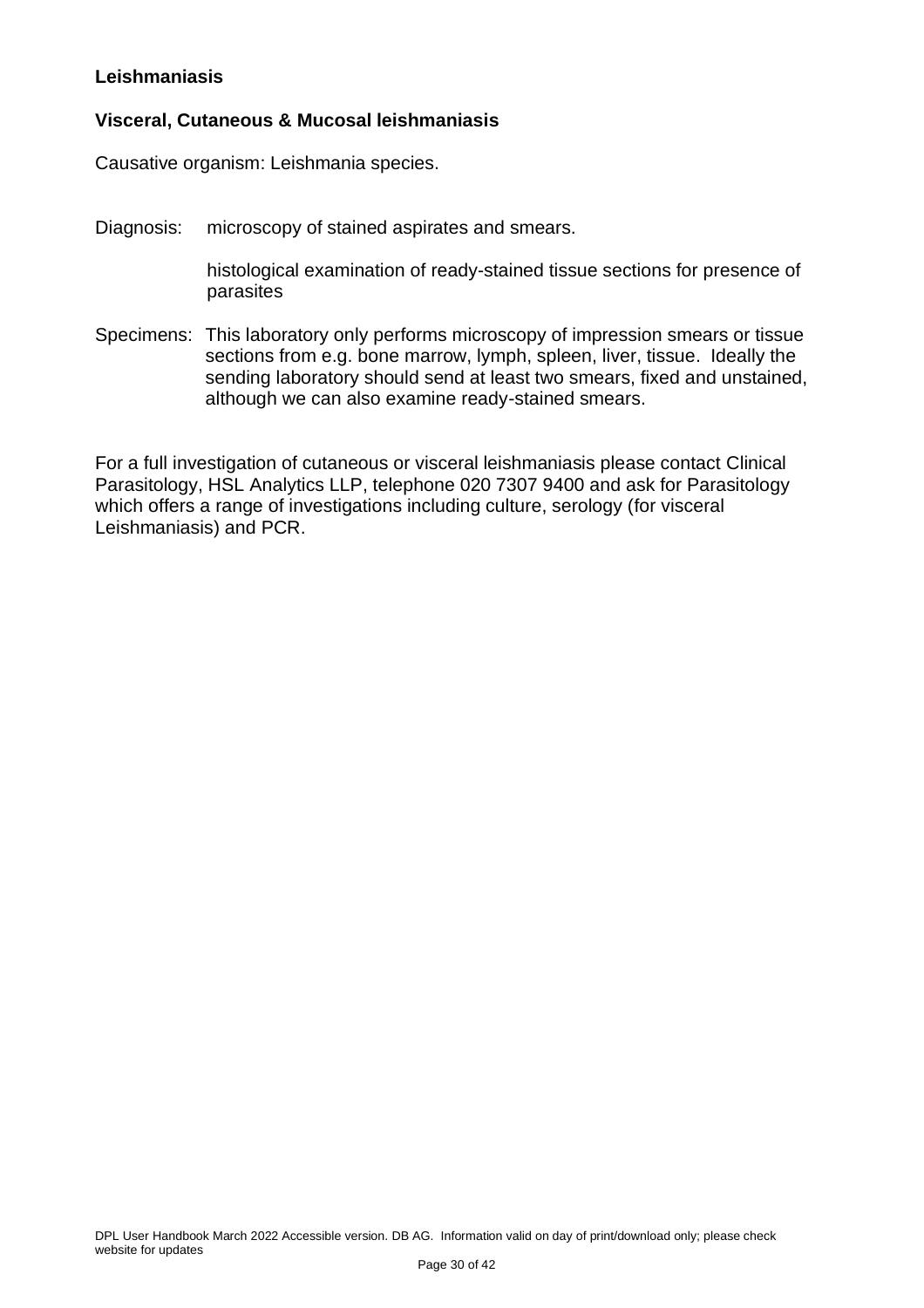#### <span id="page-29-0"></span>**Leishmaniasis**

#### **Visceral, Cutaneous & Mucosal leishmaniasis**

Causative organism: Leishmania species.

Diagnosis: microscopy of stained aspirates and smears.

histological examination of ready-stained tissue sections for presence of parasites

Specimens: This laboratory only performs microscopy of impression smears or tissue sections from e.g. bone marrow, lymph, spleen, liver, tissue. Ideally the sending laboratory should send at least two smears, fixed and unstained, although we can also examine ready-stained smears.

For a full investigation of cutaneous or visceral leishmaniasis please contact Clinical Parasitology, HSL Analytics LLP, telephone 020 7307 9400 and ask for Parasitology which offers a range of investigations including culture, serology (for visceral Leishmaniasis) and PCR.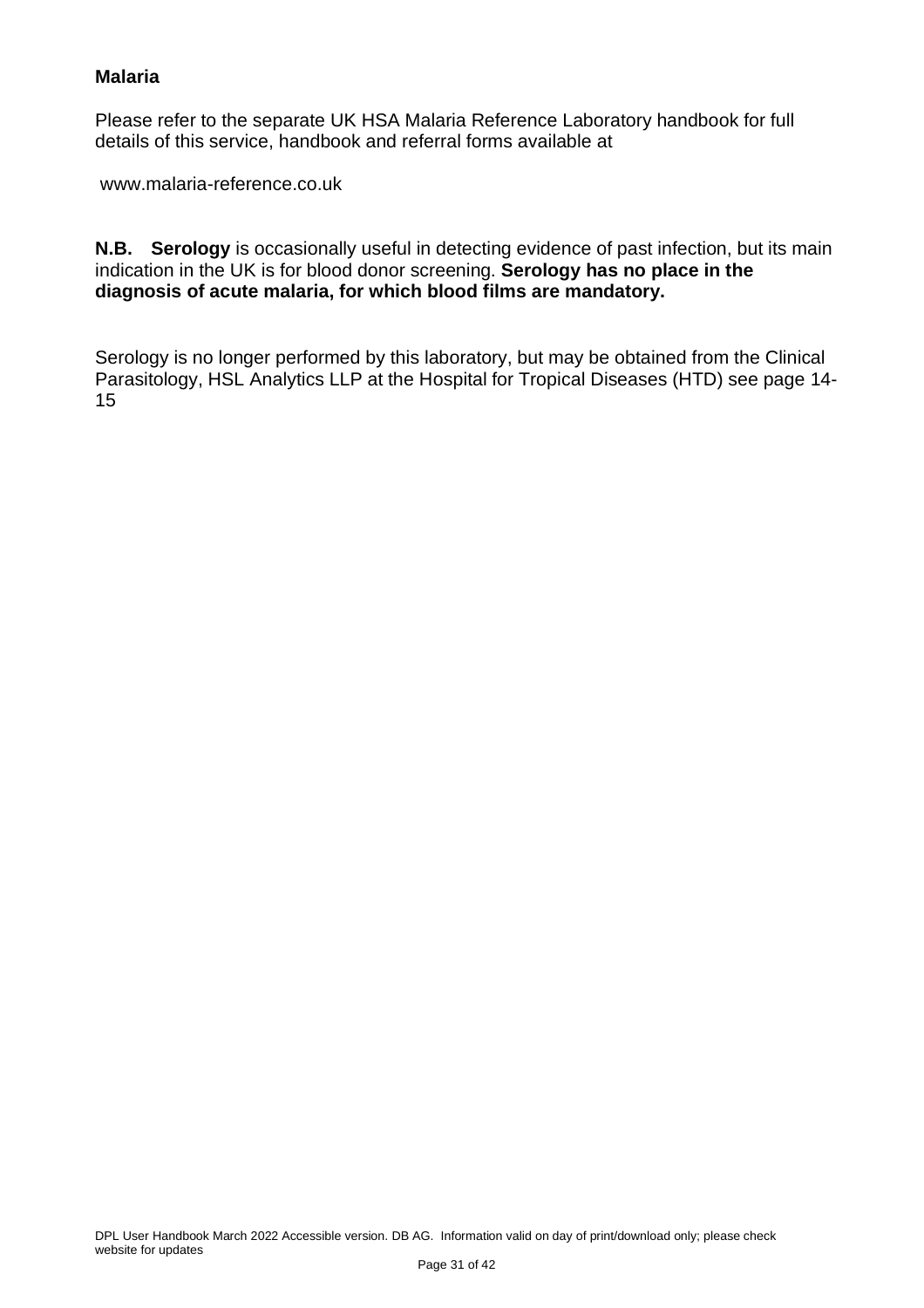#### <span id="page-30-0"></span>**Malaria**

Please refer to the separate UK HSA Malaria Reference Laboratory handbook for full details of this service, handbook and referral forms available at

www.malaria-reference.co.uk

**N.B. Serology** is occasionally useful in detecting evidence of past infection, but its main indication in the UK is for blood donor screening. **Serology has no place in the diagnosis of acute malaria, for which blood films are mandatory.**

Serology is no longer performed by this laboratory, but may be obtained from the Clinical Parasitology, HSL Analytics LLP at the Hospital for Tropical Diseases (HTD) see page 14- 15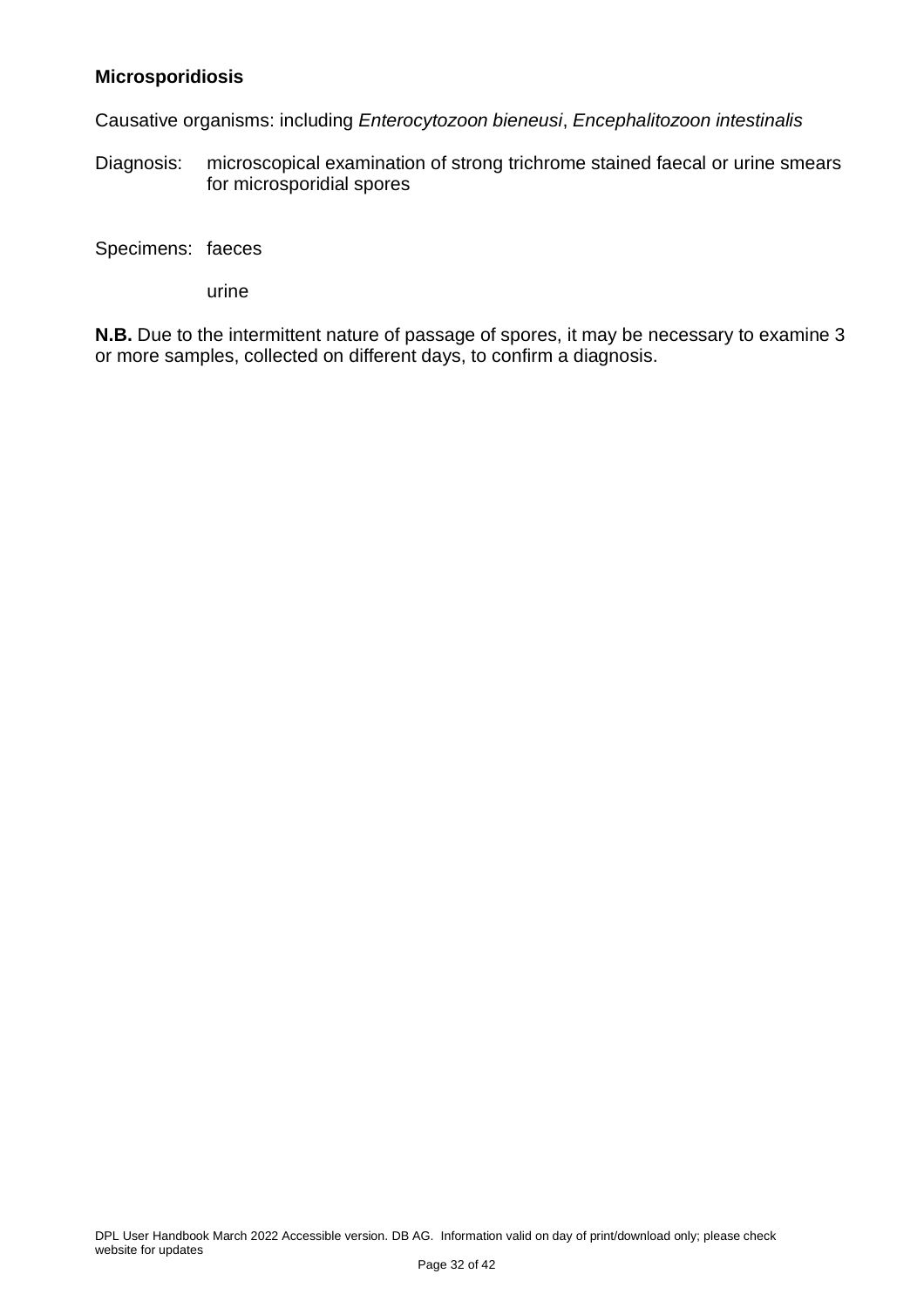#### <span id="page-31-0"></span>**Microsporidiosis**

Causative organisms: including *Enterocytozoon bieneusi*, *Encephalitozoon intestinalis*

Diagnosis: microscopical examination of strong trichrome stained faecal or urine smears for microsporidial spores

Specimens: faeces

urine

**N.B.** Due to the intermittent nature of passage of spores, it may be necessary to examine 3 or more samples, collected on different days, to confirm a diagnosis.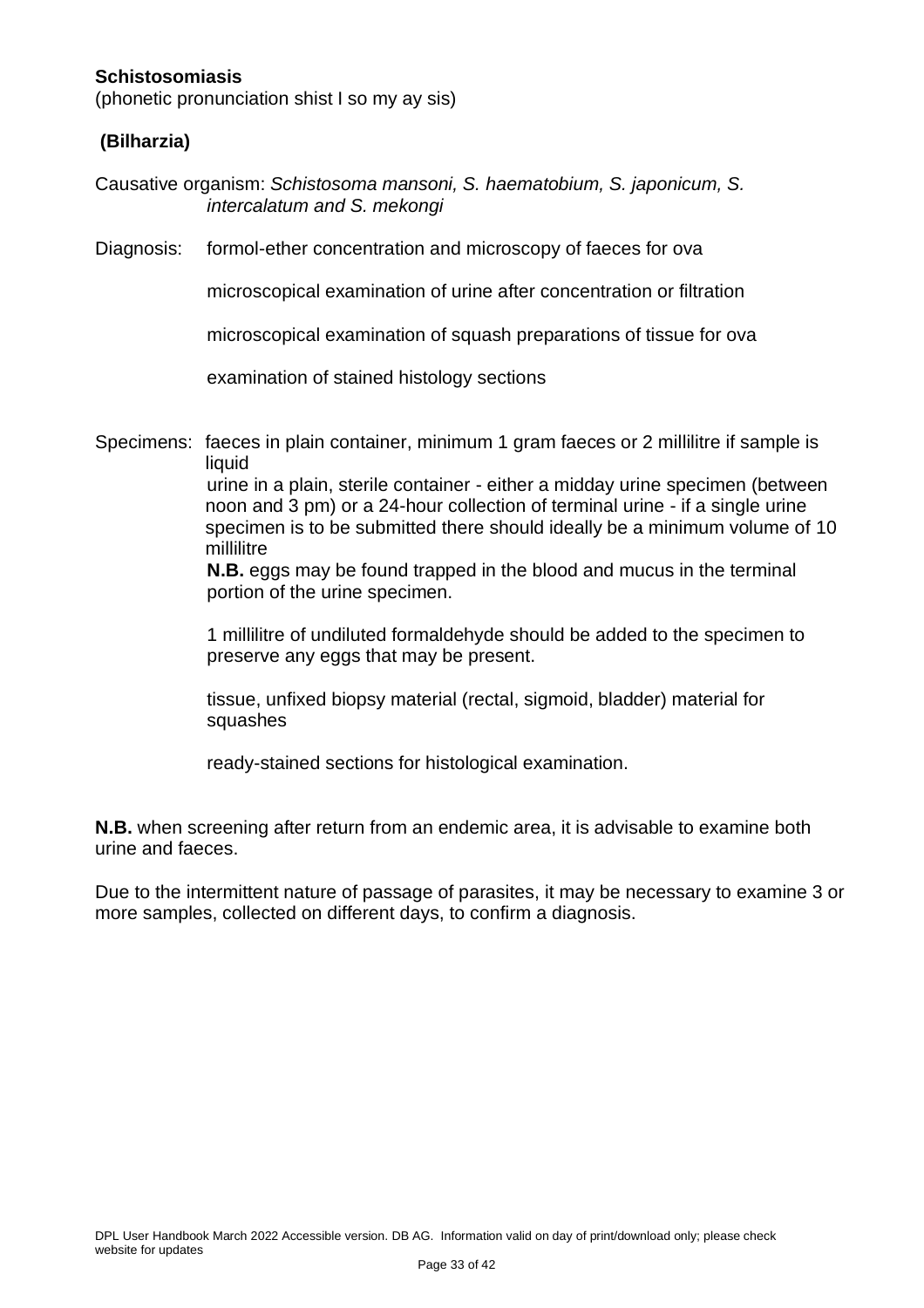#### <span id="page-32-0"></span>**Schistosomiasis**

(phonetic pronunciation shist I so my ay sis)

#### **(Bilharzia)**

Causative organism: *Schistosoma mansoni, S. haematobium, S. japonicum, S. intercalatum and S. mekongi*

Diagnosis: formol-ether concentration and microscopy of faeces for ova

microscopical examination of urine after concentration or filtration

microscopical examination of squash preparations of tissue for ova

examination of stained histology sections

Specimens: faeces in plain container, minimum 1 gram faeces or 2 millilitre if sample is liquid

> urine in a plain, sterile container - either a midday urine specimen (between noon and 3 pm) or a 24-hour collection of terminal urine - if a single urine specimen is to be submitted there should ideally be a minimum volume of 10 millilitre

**N.B.** eggs may be found trapped in the blood and mucus in the terminal portion of the urine specimen.

1 millilitre of undiluted formaldehyde should be added to the specimen to preserve any eggs that may be present.

tissue, unfixed biopsy material (rectal, sigmoid, bladder) material for squashes

ready-stained sections for histological examination.

**N.B.** when screening after return from an endemic area, it is advisable to examine both urine and faeces.

Due to the intermittent nature of passage of parasites, it may be necessary to examine 3 or more samples, collected on different days, to confirm a diagnosis.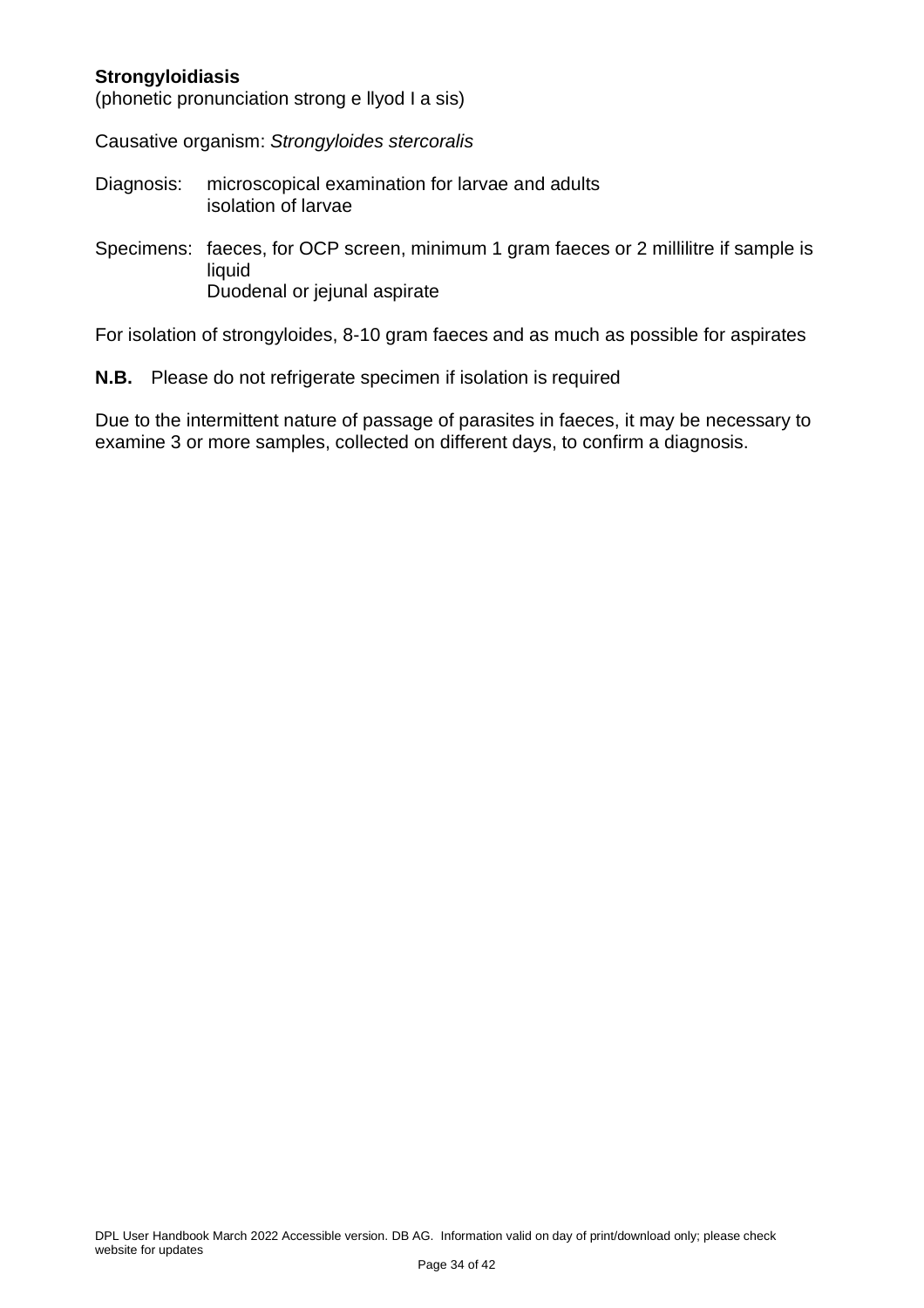#### <span id="page-33-0"></span>**Strongyloidiasis**

(phonetic pronunciation strong e llyod I a sis)

Causative organism: *Strongyloides stercoralis*

- Diagnosis: microscopical examination for larvae and adults isolation of larvae
- Specimens: faeces, for OCP screen, minimum 1 gram faeces or 2 millilitre if sample is liquid Duodenal or jejunal aspirate

For isolation of strongyloides, 8-10 gram faeces and as much as possible for aspirates

**N.B.** Please do not refrigerate specimen if isolation is required

Due to the intermittent nature of passage of parasites in faeces, it may be necessary to examine 3 or more samples, collected on different days, to confirm a diagnosis.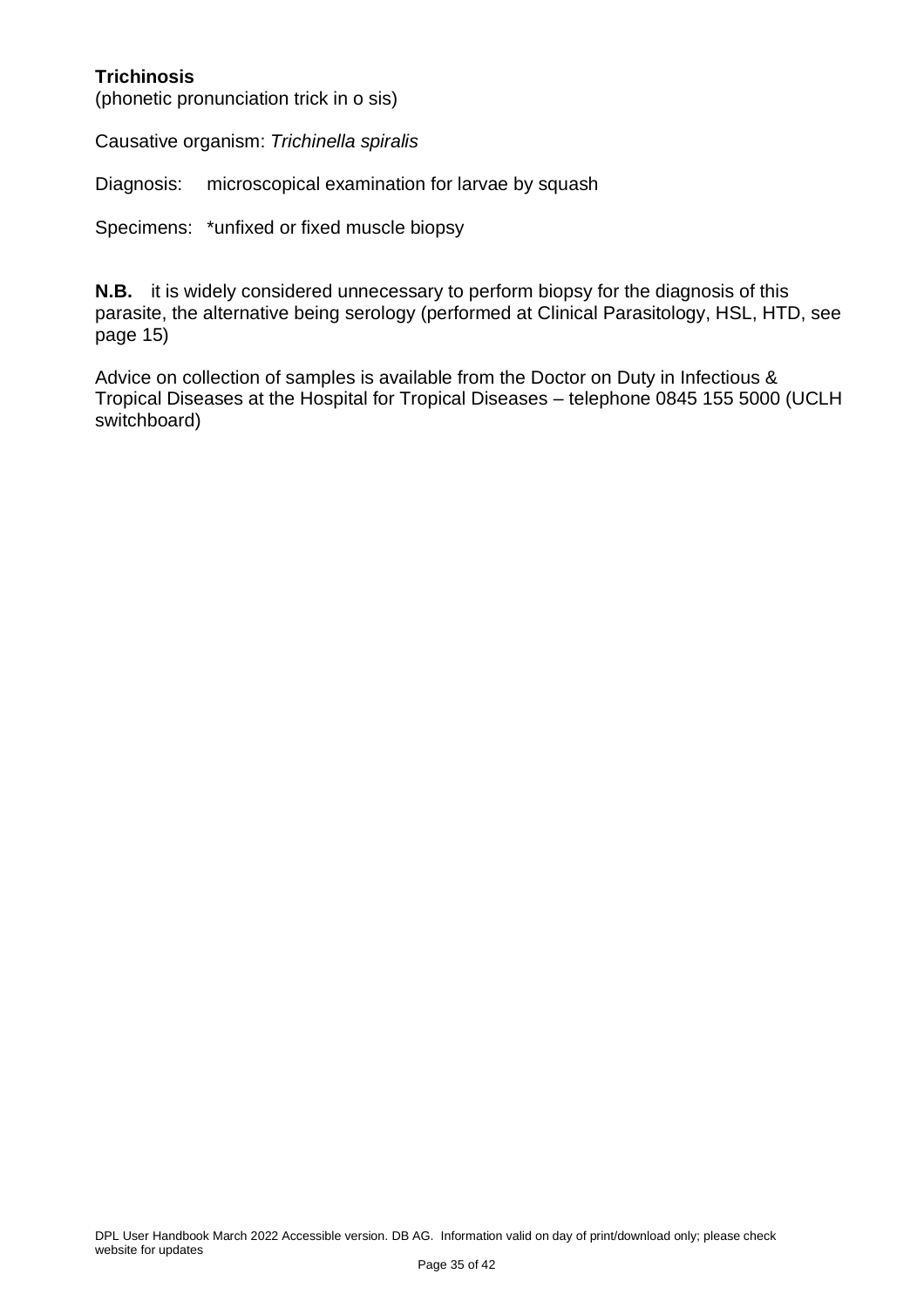#### <span id="page-34-0"></span>**Trichinosis**

(phonetic pronunciation trick in o sis)

Causative organism: *Trichinella spiralis*

Diagnosis: microscopical examination for larvae by squash

Specimens: \*unfixed or fixed muscle biopsy

**N.B.** it is widely considered unnecessary to perform biopsy for the diagnosis of this parasite, the alternative being serology (performed at Clinical Parasitology, HSL, HTD, see page 15)

Advice on collection of samples is available from the Doctor on Duty in Infectious & Tropical Diseases at the Hospital for Tropical Diseases – telephone 0845 155 5000 (UCLH switchboard)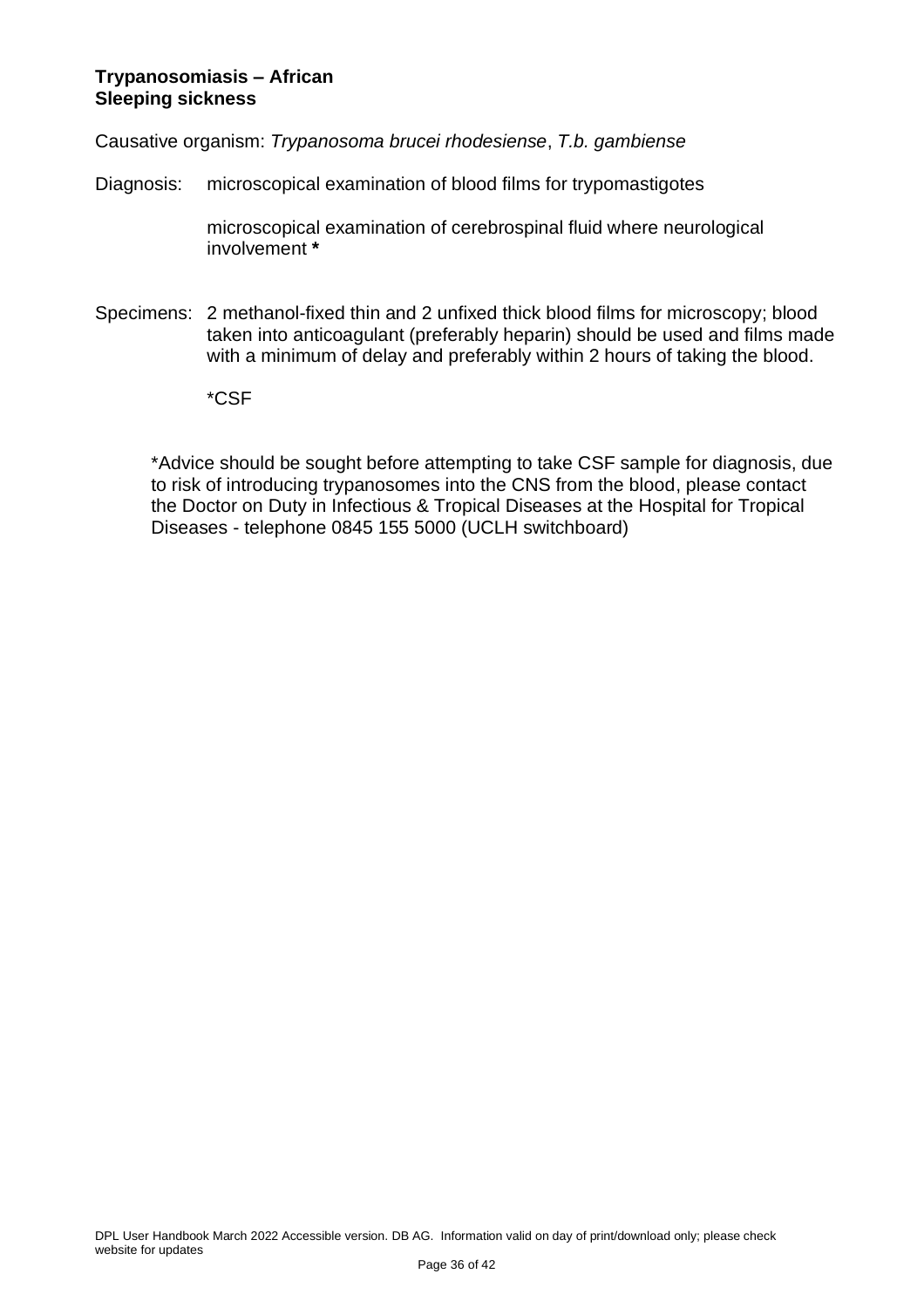#### <span id="page-35-0"></span>**Trypanosomiasis – African Sleeping sickness**

Causative organism: *Trypanosoma brucei rhodesiense*, *T.b. gambiense*

Diagnosis: microscopical examination of blood films for trypomastigotes

microscopical examination of cerebrospinal fluid where neurological involvement **\***

- Specimens: 2 methanol-fixed thin and 2 unfixed thick blood films for microscopy; blood taken into anticoagulant (preferably heparin) should be used and films made with a minimum of delay and preferably within 2 hours of taking the blood.
	- \*CSF

\*Advice should be sought before attempting to take CSF sample for diagnosis, due to risk of introducing trypanosomes into the CNS from the blood, please contact the Doctor on Duty in Infectious & Tropical Diseases at the Hospital for Tropical Diseases - telephone 0845 155 5000 (UCLH switchboard)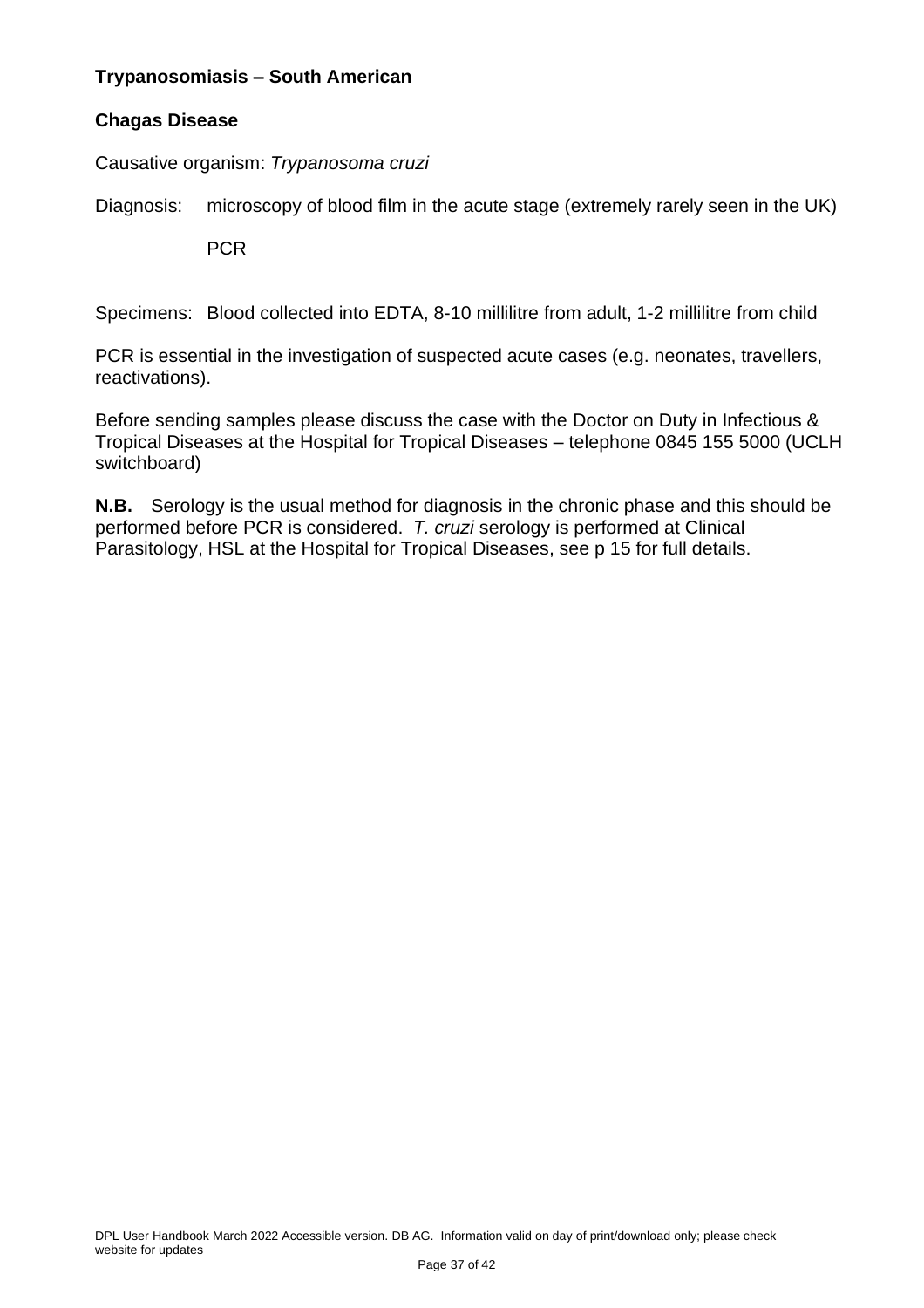#### <span id="page-36-0"></span>**Trypanosomiasis – South American**

#### **Chagas Disease**

Causative organism: *Trypanosoma cruzi*

Diagnosis: microscopy of blood film in the acute stage (extremely rarely seen in the UK)

PCR

Specimens: Blood collected into EDTA, 8-10 millilitre from adult, 1-2 millilitre from child

PCR is essential in the investigation of suspected acute cases (e.g. neonates, travellers, reactivations).

Before sending samples please discuss the case with the Doctor on Duty in Infectious & Tropical Diseases at the Hospital for Tropical Diseases – telephone 0845 155 5000 (UCLH switchboard)

**N.B.** Serology is the usual method for diagnosis in the chronic phase and this should be performed before PCR is considered. *T. cruzi* serology is performed at Clinical Parasitology, HSL at the Hospital for Tropical Diseases, see p 15 for full details.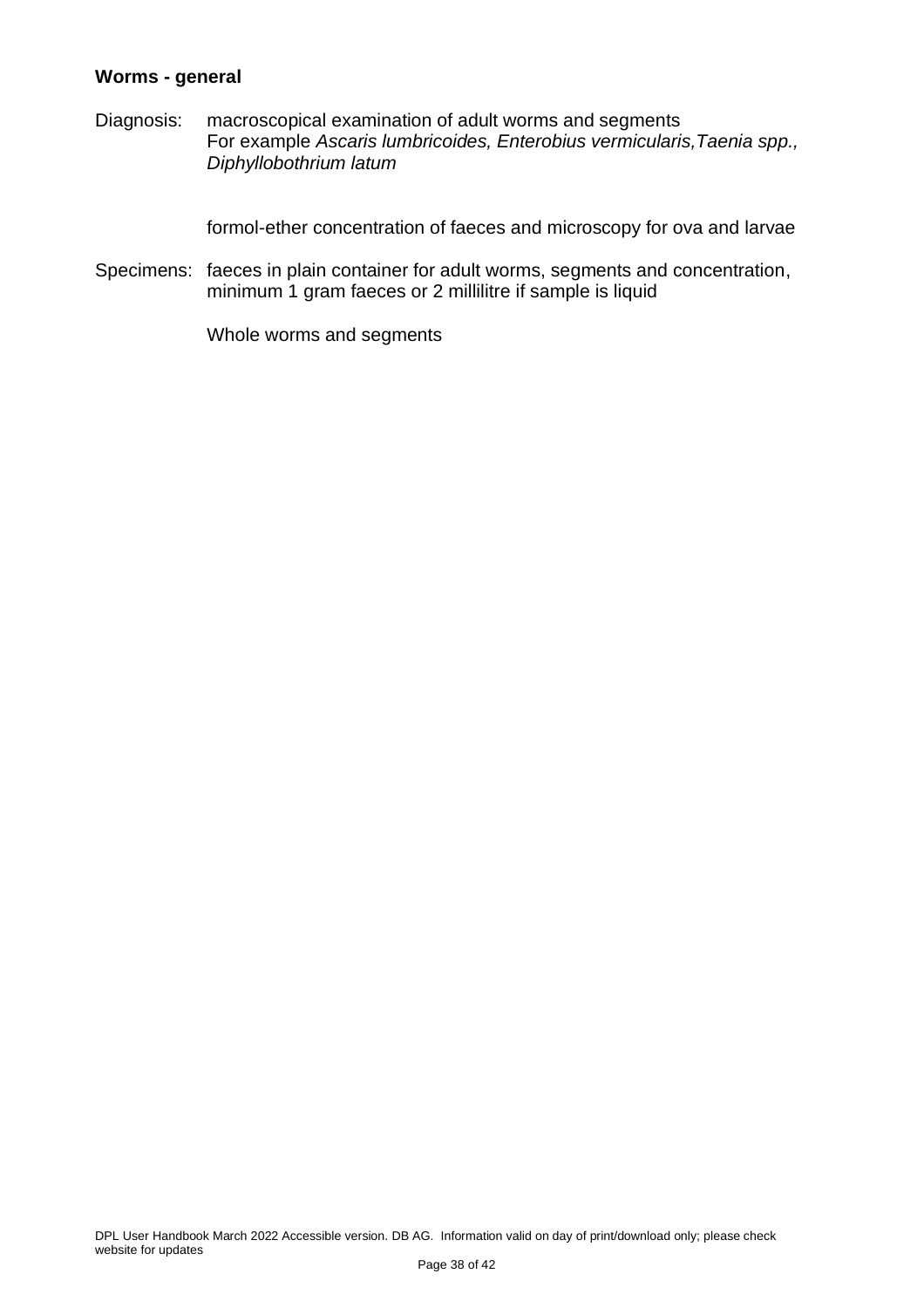#### <span id="page-37-0"></span>**Worms - general**

Diagnosis: macroscopical examination of adult worms and segments For example *Ascaris lumbricoides, Enterobius vermicularis,Taenia spp., Diphyllobothrium latum*

formol-ether concentration of faeces and microscopy for ova and larvae

Specimens: faeces in plain container for adult worms, segments and concentration, minimum 1 gram faeces or 2 millilitre if sample is liquid

Whole worms and segments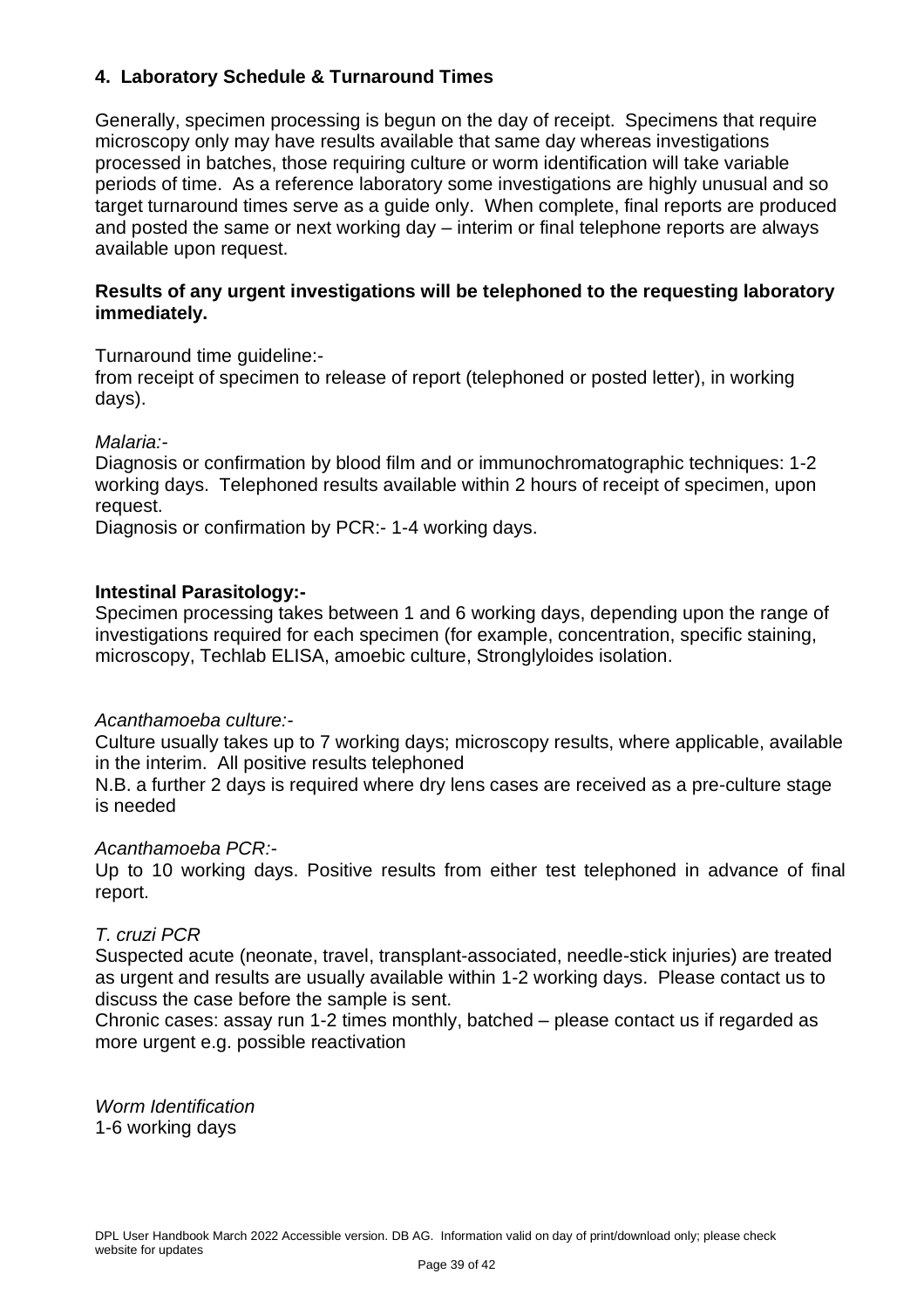#### <span id="page-38-0"></span>**4. Laboratory Schedule & Turnaround Times**

Generally, specimen processing is begun on the day of receipt. Specimens that require microscopy only may have results available that same day whereas investigations processed in batches, those requiring culture or worm identification will take variable periods of time. As a reference laboratory some investigations are highly unusual and so target turnaround times serve as a guide only. When complete, final reports are produced and posted the same or next working day – interim or final telephone reports are always available upon request.

#### **Results of any urgent investigations will be telephoned to the requesting laboratory immediately.**

Turnaround time guideline:-

from receipt of specimen to release of report (telephoned or posted letter), in working days).

*Malaria:-*

Diagnosis or confirmation by blood film and or immunochromatographic techniques: 1-2 working days. Telephoned results available within 2 hours of receipt of specimen, upon request.

Diagnosis or confirmation by PCR:- 1-4 working days.

#### **Intestinal Parasitology:-**

Specimen processing takes between 1 and 6 working days, depending upon the range of investigations required for each specimen (for example, concentration, specific staining, microscopy, Techlab ELISA, amoebic culture, Stronglyloides isolation.

#### *Acanthamoeba culture:-*

Culture usually takes up to 7 working days; microscopy results, where applicable, available in the interim. All positive results telephoned

N.B. a further 2 days is required where dry lens cases are received as a pre-culture stage is needed

#### *Acanthamoeba PCR:-*

Up to 10 working days. Positive results from either test telephoned in advance of final report.

#### *T. cruzi PCR*

Suspected acute (neonate, travel, transplant-associated, needle-stick injuries) are treated as urgent and results are usually available within 1-2 working days. Please contact us to discuss the case before the sample is sent.

Chronic cases: assay run 1-2 times monthly, batched – please contact us if regarded as more urgent e.g. possible reactivation

*Worm Identification* 1-6 working days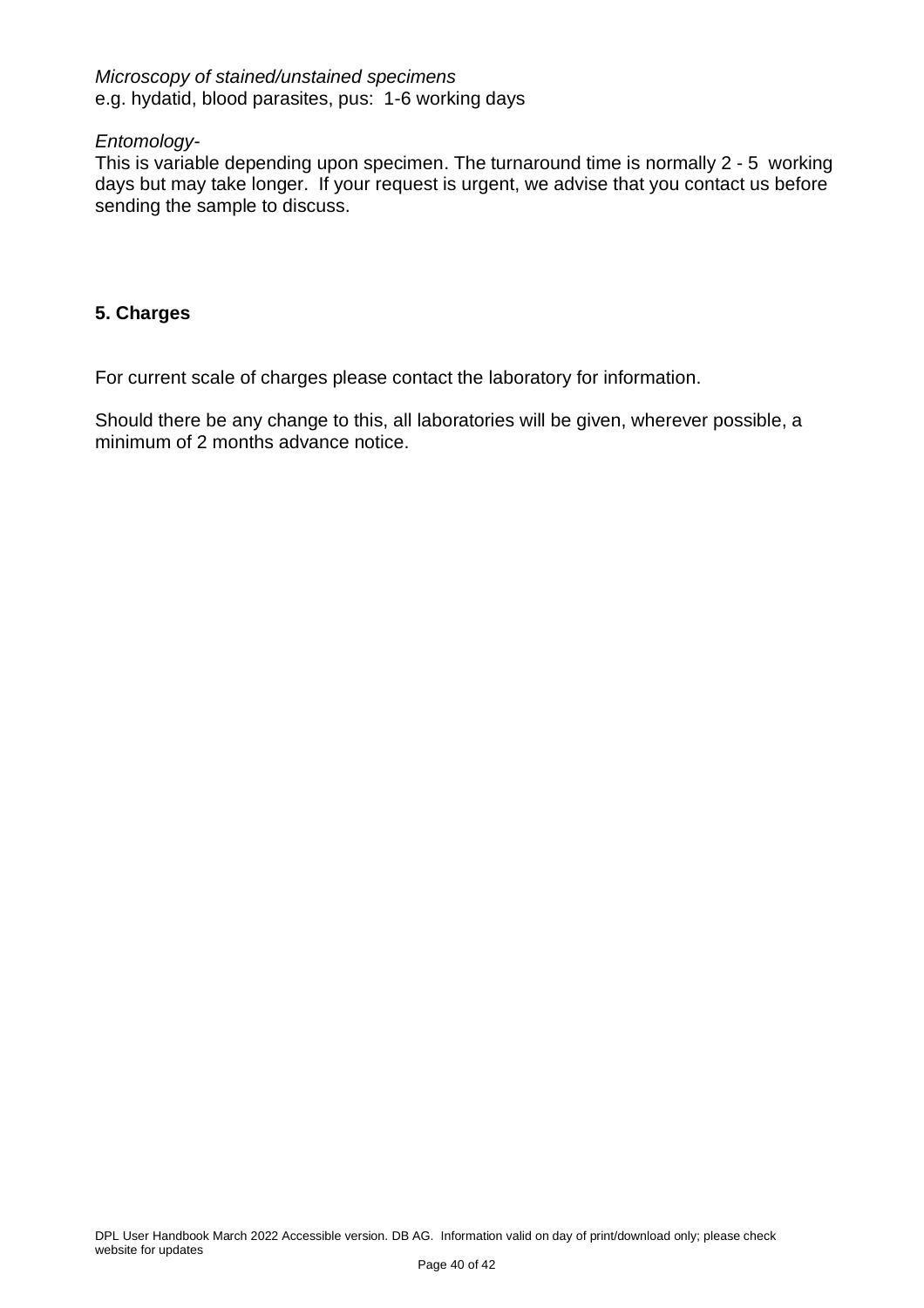#### *Microscopy of stained/unstained specimens* e.g. hydatid, blood parasites, pus: 1-6 working days

#### *Entomology-*

This is variable depending upon specimen. The turnaround time is normally 2 - 5 working days but may take longer. If your request is urgent, we advise that you contact us before sending the sample to discuss.

#### <span id="page-39-0"></span>**5. Charges**

For current scale of charges please contact the laboratory for information.

Should there be any change to this, all laboratories will be given, wherever possible, a minimum of 2 months advance notice.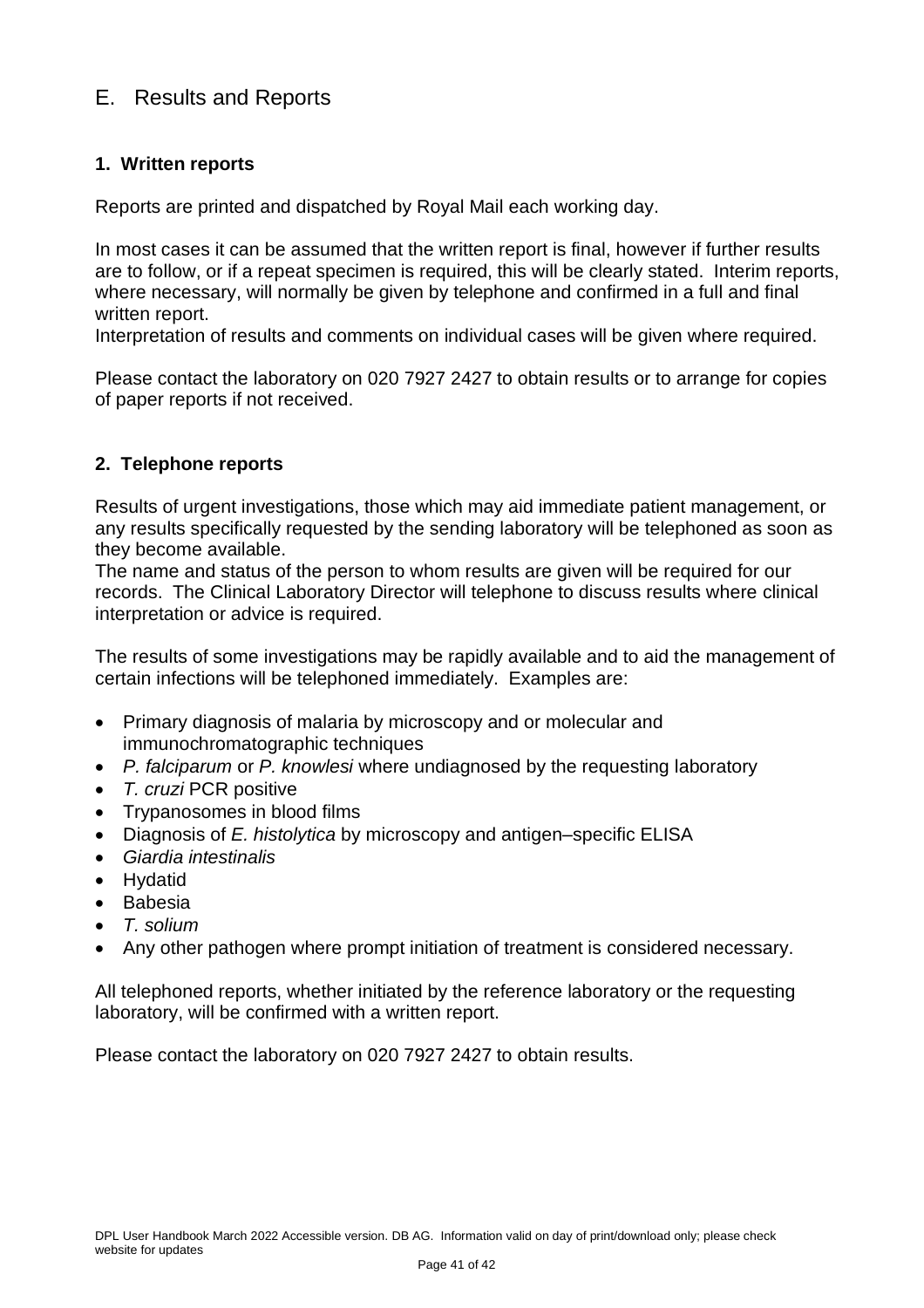## <span id="page-40-0"></span>E. Results and Reports

#### <span id="page-40-1"></span>**1. Written reports**

Reports are printed and dispatched by Royal Mail each working day.

In most cases it can be assumed that the written report is final, however if further results are to follow, or if a repeat specimen is required, this will be clearly stated. Interim reports, where necessary, will normally be given by telephone and confirmed in a full and final written report.

Interpretation of results and comments on individual cases will be given where required.

Please contact the laboratory on 020 7927 2427 to obtain results or to arrange for copies of paper reports if not received.

#### <span id="page-40-2"></span>**2. Telephone reports**

Results of urgent investigations, those which may aid immediate patient management, or any results specifically requested by the sending laboratory will be telephoned as soon as they become available.

The name and status of the person to whom results are given will be required for our records. The Clinical Laboratory Director will telephone to discuss results where clinical interpretation or advice is required.

The results of some investigations may be rapidly available and to aid the management of certain infections will be telephoned immediately. Examples are:

- Primary diagnosis of malaria by microscopy and or molecular and immunochromatographic techniques
- *P. falciparum* or *P. knowlesi* where undiagnosed by the requesting laboratory
- *T. cruzi* PCR positive
- Trypanosomes in blood films
- Diagnosis of *E. histolytica* by microscopy and antigen–specific ELISA
- *Giardia intestinalis*
- Hydatid
- Babesia
- *T. solium*
- Any other pathogen where prompt initiation of treatment is considered necessary.

All telephoned reports, whether initiated by the reference laboratory or the requesting laboratory, will be confirmed with a written report.

Please contact the laboratory on 020 7927 2427 to obtain results.